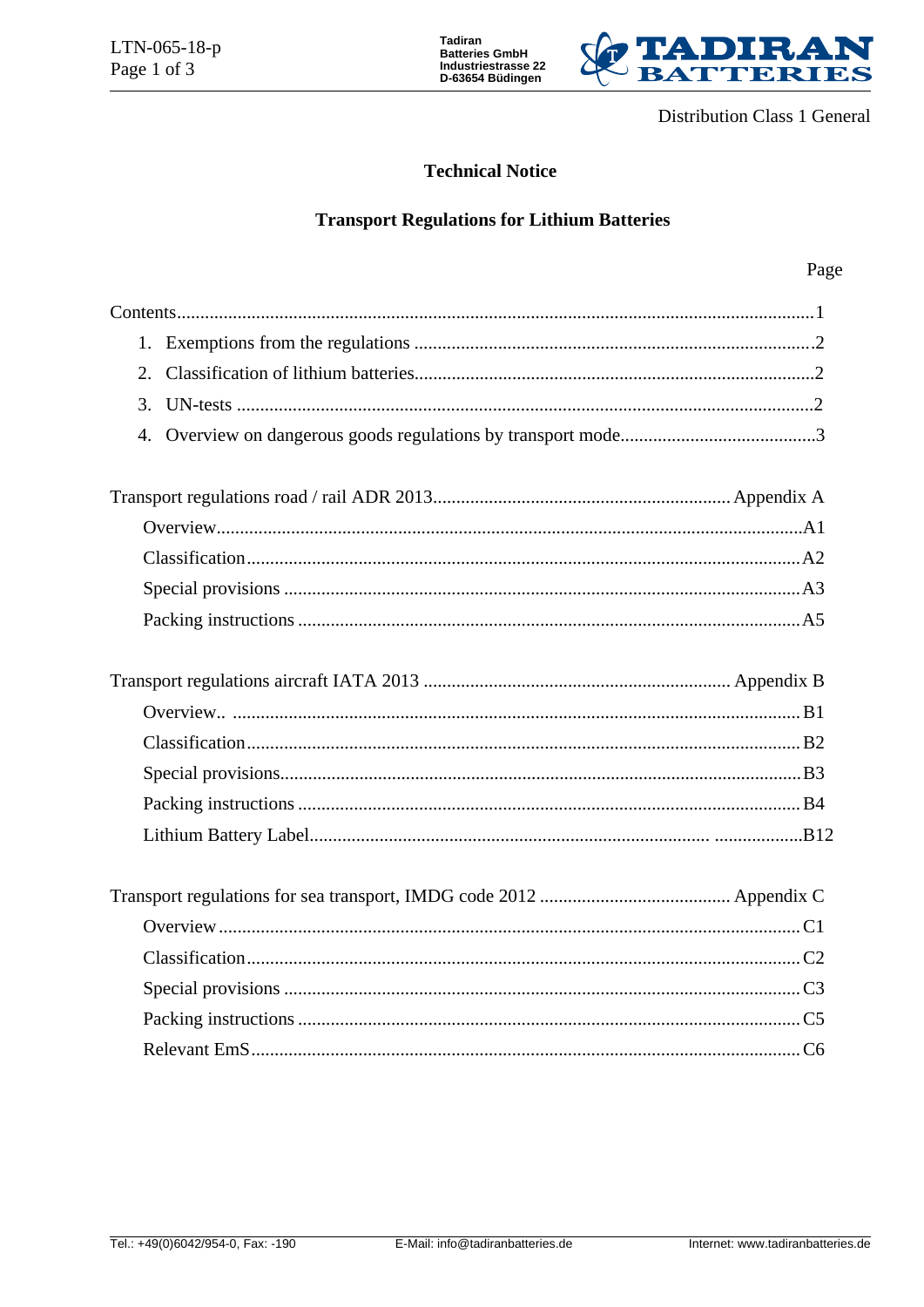



**Distribution Class 1 General** 

### **Technical Notice**

## **Transport Regulations for Lithium Batteries**

### Page

| $\mathcal{F}_{\mathcal{L}}$ |  |
|-----------------------------|--|
| 4.                          |  |
|                             |  |
|                             |  |
|                             |  |
|                             |  |
|                             |  |
|                             |  |
|                             |  |
|                             |  |
|                             |  |
|                             |  |
|                             |  |
|                             |  |
|                             |  |
|                             |  |
|                             |  |
|                             |  |
|                             |  |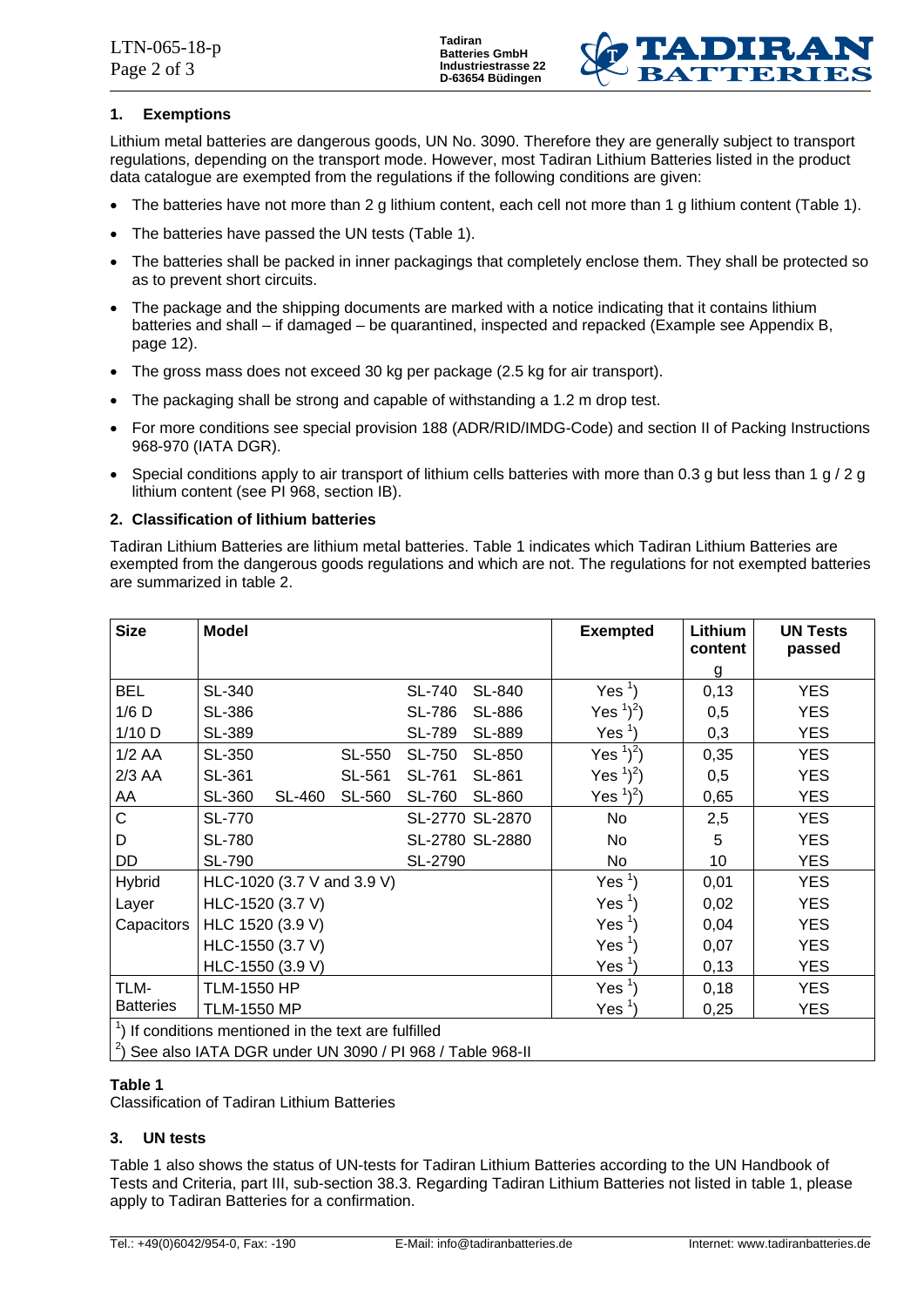

### **1. Exemptions**

Lithium metal batteries are dangerous goods, UN No. 3090. Therefore they are generally subject to transport regulations, depending on the transport mode. However, most Tadiran Lithium Batteries listed in the product data catalogue are exempted from the regulations if the following conditions are given:

- The batteries have not more than 2 g lithium content, each cell not more than 1 g lithium content (Table 1).
- The batteries have passed the UN tests (Table 1).
- The batteries shall be packed in inner packagings that completely enclose them. They shall be protected so as to prevent short circuits.
- The package and the shipping documents are marked with a notice indicating that it contains lithium batteries and shall – if damaged – be quarantined, inspected and repacked (Example see Appendix B, page 12).
- The gross mass does not exceed 30 kg per package (2.5 kg for air transport).
- The packaging shall be strong and capable of withstanding a 1.2 m drop test.
- For more conditions see special provision 188 (ADR/RID/IMDG-Code) and section II of Packing Instructions 968-970 (IATA DGR).
- Special conditions apply to air transport of lithium cells batteries with more than 0.3 g but less than 1 g / 2 g lithium content (see PI 968, section IB).

### **2. Classification of lithium batteries**

Tadiran Lithium Batteries are lithium metal batteries. Table 1 indicates which Tadiran Lithium Batteries are exempted from the dangerous goods regulations and which are not. The regulations for not exempted batteries are summarized in table 2.

| <b>Size</b>                                                      | <b>Model</b>       |                            |        |               |                 | <b>Exempted</b>   | Lithium<br>content | <b>UN Tests</b><br>passed |
|------------------------------------------------------------------|--------------------|----------------------------|--------|---------------|-----------------|-------------------|--------------------|---------------------------|
|                                                                  |                    |                            |        |               |                 |                   | g                  |                           |
| <b>BEL</b>                                                       | SL-340             |                            |        | <b>SL-740</b> | SL-840          | Yes $\frac{1}{2}$ | 0,13               | <b>YES</b>                |
| $1/6$ D                                                          | SL-386             |                            |        | <b>SL-786</b> | <b>SL-886</b>   | Yes $^{1})^{2}$ ) | 0,5                | <b>YES</b>                |
| $1/10$ D                                                         | SL-389             |                            |        | <b>SL-789</b> | SL-889          | Yes <sup>1</sup>  | 0,3                | <b>YES</b>                |
| $1/2$ AA                                                         | SL-350             |                            | SL-550 | <b>SL-750</b> | SL-850          | Yes $^{1})^{2}$ ) | 0,35               | <b>YES</b>                |
| $2/3$ AA                                                         | SL-361             |                            | SL-561 | SL-761        | SL-861          | Yes $^{1})^{2}$ ) | 0,5                | <b>YES</b>                |
| AA                                                               | SL-360             | <b>SL-460</b>              | SL-560 | <b>SL-760</b> | SL-860          | Yes $^{1})^{2}$ ) | 0,65               | <b>YES</b>                |
| C                                                                | <b>SL-770</b>      |                            |        |               | SL-2770 SL-2870 | No                | 2,5                | <b>YES</b>                |
| D                                                                | <b>SL-780</b>      |                            |        |               | SL-2780 SL-2880 | No                | 5                  | <b>YES</b>                |
| <b>DD</b>                                                        | <b>SL-790</b>      |                            |        | SL-2790       |                 | No                | 10                 | <b>YES</b>                |
| <b>Hybrid</b>                                                    |                    | HLC-1020 (3.7 V and 3.9 V) |        |               |                 | Yes $\frac{1}{2}$ | 0,01               | <b>YES</b>                |
| Layer                                                            |                    | HLC-1520 (3.7 V)           |        |               |                 | Yes $\frac{1}{2}$ | 0,02               | <b>YES</b>                |
| Capacitors                                                       | HLC 1520 (3.9 V)   |                            |        |               |                 | Yes $\frac{1}{2}$ | 0,04               | <b>YES</b>                |
|                                                                  |                    | HLC-1550 (3.7 V)           |        |               |                 | Yes $\frac{1}{2}$ | 0,07               | <b>YES</b>                |
|                                                                  |                    | HLC-1550 (3.9 V)           |        |               |                 | Yes <sup>1</sup>  | 0,13               | <b>YES</b>                |
| TLM-                                                             | <b>TLM-1550 HP</b> |                            |        |               |                 | Yes $\frac{1}{2}$ | 0,18               | <b>YES</b>                |
| <b>Batteries</b>                                                 | <b>TLM-1550 MP</b> |                            |        |               |                 | Yes <sup>1</sup>  | 0,25               | <b>YES</b>                |
| <sup>1</sup> ) If conditions mentioned in the text are fulfilled |                    |                            |        |               |                 |                   |                    |                           |
| $^{2}$ ) See also IATA DGR under UN 3090 / PI 968 / Table 968-II |                    |                            |        |               |                 |                   |                    |                           |

### **Table 1**

Classification of Tadiran Lithium Batteries

### **3. UN tests**

Table 1 also shows the status of UN-tests for Tadiran Lithium Batteries according to the UN Handbook of Tests and Criteria, part III, sub-section 38.3. Regarding Tadiran Lithium Batteries not listed in table 1, please apply to Tadiran Batteries for a confirmation.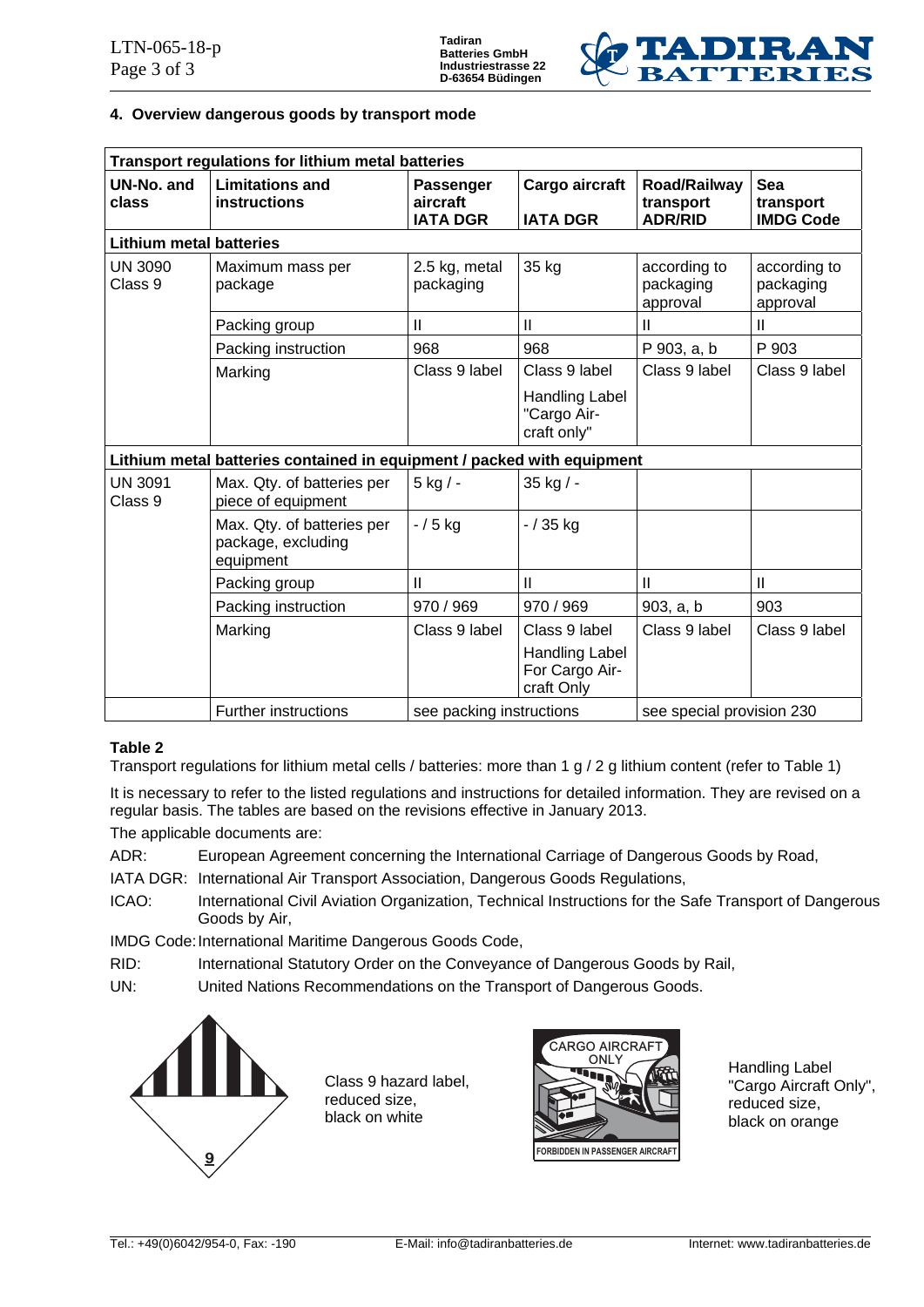

### **4. Overview dangerous goods by transport mode**

|                                                                        | Transport regulations for lithium metal batteries             |                                          |                                                |                                             |                                             |  |  |  |  |
|------------------------------------------------------------------------|---------------------------------------------------------------|------------------------------------------|------------------------------------------------|---------------------------------------------|---------------------------------------------|--|--|--|--|
| UN-No. and<br>class                                                    | <b>Limitations and</b><br>instructions                        | Passenger<br>aircraft<br><b>IATA DGR</b> | Cargo aircraft<br><b>IATA DGR</b>              | Road/Railway<br>transport<br><b>ADR/RID</b> | <b>Sea</b><br>transport<br><b>IMDG Code</b> |  |  |  |  |
| <b>Lithium metal batteries</b>                                         |                                                               |                                          |                                                |                                             |                                             |  |  |  |  |
| <b>UN 3090</b><br>Class 9                                              | Maximum mass per<br>package                                   | 2.5 kg, metal<br>packaging               | 35 kg                                          | according to<br>packaging<br>approval       | according to<br>packaging<br>approval       |  |  |  |  |
|                                                                        | Packing group                                                 | $\mathbf{I}$                             | $\mathbf{H}$                                   | Ш                                           | Ш                                           |  |  |  |  |
|                                                                        | Packing instruction                                           | 968                                      | 968                                            | P 903, a, b                                 | P 903                                       |  |  |  |  |
|                                                                        | Marking                                                       | Class 9 label                            | Class 9 label                                  | Class 9 label                               | Class 9 label                               |  |  |  |  |
|                                                                        |                                                               |                                          | Handling Label<br>"Cargo Air-<br>craft only"   |                                             |                                             |  |  |  |  |
| Lithium metal batteries contained in equipment / packed with equipment |                                                               |                                          |                                                |                                             |                                             |  |  |  |  |
| <b>UN 3091</b><br>Class 9                                              | Max. Qty. of batteries per<br>piece of equipment              | $5$ kg $/$ -                             | 35 kg / -                                      |                                             |                                             |  |  |  |  |
|                                                                        | Max. Qty. of batteries per<br>package, excluding<br>equipment | $-/5$ kg                                 | $-/35$ kg                                      |                                             |                                             |  |  |  |  |
|                                                                        | Packing group                                                 | $\mathbf{I}$                             | $\mathbf{II}$                                  | $\mathsf{II}$                               | $\mathbf{II}$                               |  |  |  |  |
|                                                                        | Packing instruction                                           | 970 / 969                                | 970 / 969                                      | 903, a, b                                   | 903                                         |  |  |  |  |
|                                                                        | Marking                                                       | Class 9 label                            | Class 9 label                                  | Class 9 label                               | Class 9 label                               |  |  |  |  |
|                                                                        |                                                               |                                          | Handling Label<br>For Cargo Air-<br>craft Only |                                             |                                             |  |  |  |  |
|                                                                        | <b>Further instructions</b>                                   | see packing instructions                 |                                                | see special provision 230                   |                                             |  |  |  |  |

### **Table 2**

Transport regulations for lithium metal cells / batteries: more than 1 g / 2 g lithium content (refer to Table 1)

It is necessary to refer to the listed regulations and instructions for detailed information. They are revised on a regular basis. The tables are based on the revisions effective in January 2013.

The applicable documents are:

- ADR: European Agreement concerning the International Carriage of Dangerous Goods by Road,
- IATA DGR: International Air Transport Association, Dangerous Goods Regulations,
- ICAO: International Civil Aviation Organization, Technical Instructions for the Safe Transport of Dangerous Goods by Air,

IMDG Code: International Maritime Dangerous Goods Code,

RID: International Statutory Order on the Conveyance of Dangerous Goods by Rail,

UN: United Nations Recommendations on the Transport of Dangerous Goods.



Class 9 hazard label, reduced size, black on white



Handling Label "Cargo Aircraft Only", reduced size, black on orange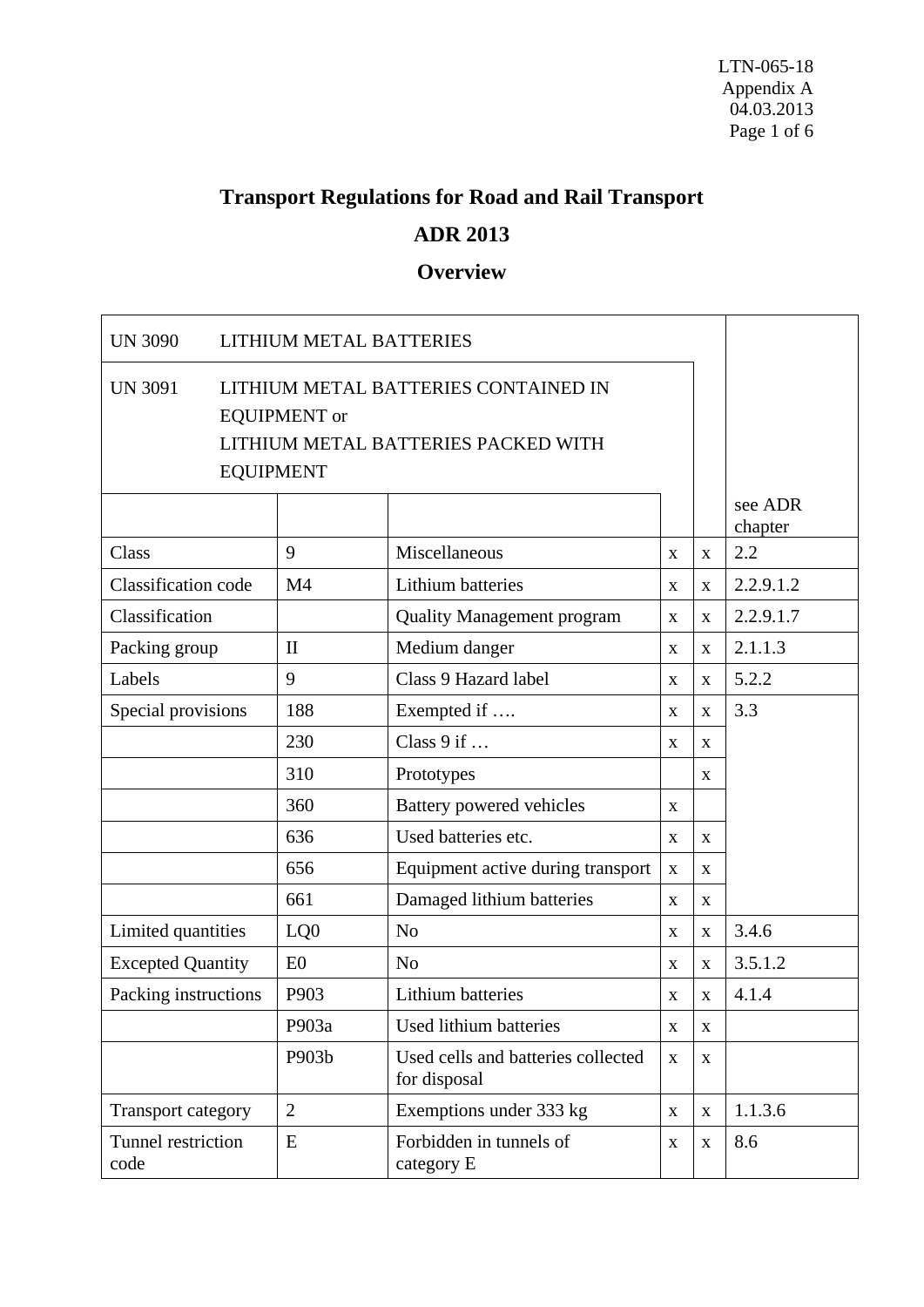# **Transport Regulations for Road and Rail Transport ADR 2013**

# **Overview**

| <b>UN 3090</b>             |                                                                                                                        | <b>LITHIUM METAL BATTERIES</b> |                                                    |             |              |                    |  |
|----------------------------|------------------------------------------------------------------------------------------------------------------------|--------------------------------|----------------------------------------------------|-------------|--------------|--------------------|--|
| <b>UN 3091</b>             | LITHIUM METAL BATTERIES CONTAINED IN<br><b>EQUIPMENT</b> or<br>LITHIUM METAL BATTERIES PACKED WITH<br><b>EQUIPMENT</b> |                                |                                                    |             |              |                    |  |
|                            |                                                                                                                        |                                |                                                    |             |              | see ADR<br>chapter |  |
| Class                      |                                                                                                                        | 9                              | Miscellaneous                                      | X           | $\mathbf{X}$ | 2.2                |  |
| Classification code        |                                                                                                                        | M <sub>4</sub>                 | <b>Lithium batteries</b>                           | X           | X            | 2.2.9.1.2          |  |
| Classification             |                                                                                                                        |                                | <b>Quality Management program</b>                  | $\mathbf X$ | $\mathbf X$  | 2.2.9.1.7          |  |
| Packing group              |                                                                                                                        | $\mathbf{I}$                   | Medium danger                                      | X           | X            | 2.1.1.3            |  |
| Labels                     |                                                                                                                        | 9                              | Class 9 Hazard label                               | $\mathbf X$ | X            | 5.2.2              |  |
| Special provisions         |                                                                                                                        | 188                            | Exempted if                                        | X           | $\mathbf X$  | 3.3                |  |
|                            |                                                                                                                        | 230                            | Class $9$ if                                       | $\mathbf X$ | X            |                    |  |
|                            |                                                                                                                        | 310                            | Prototypes                                         |             | X            |                    |  |
|                            |                                                                                                                        | 360                            | Battery powered vehicles                           | X           |              |                    |  |
|                            |                                                                                                                        | 636                            | Used batteries etc.                                | $\mathbf X$ | X            |                    |  |
|                            |                                                                                                                        | 656                            | Equipment active during transport                  | $\mathbf X$ | X            |                    |  |
|                            |                                                                                                                        | 661                            | Damaged lithium batteries                          | X           | X            |                    |  |
| Limited quantities         |                                                                                                                        | LQ0                            | N <sub>o</sub>                                     | $\mathbf X$ | $\mathbf X$  | 3.4.6              |  |
| <b>Excepted Quantity</b>   |                                                                                                                        | E0                             | N <sub>o</sub>                                     | X           | $\mathbf X$  | 3.5.1.2            |  |
| Packing instructions       |                                                                                                                        | P903                           | Lithium batteries                                  | X           | X            | 4.1.4              |  |
|                            |                                                                                                                        | P903a                          | Used lithium batteries                             | $\mathbf X$ | X            |                    |  |
|                            |                                                                                                                        | P903b                          | Used cells and batteries collected<br>for disposal | $\mathbf X$ | $\mathbf X$  |                    |  |
| Transport category         |                                                                                                                        | $\overline{2}$                 | Exemptions under 333 kg                            | $\mathbf X$ | $\mathbf X$  | 1.1.3.6            |  |
| Tunnel restriction<br>code |                                                                                                                        | E                              | Forbidden in tunnels of<br>category E              | $\mathbf X$ | $\mathbf X$  | 8.6                |  |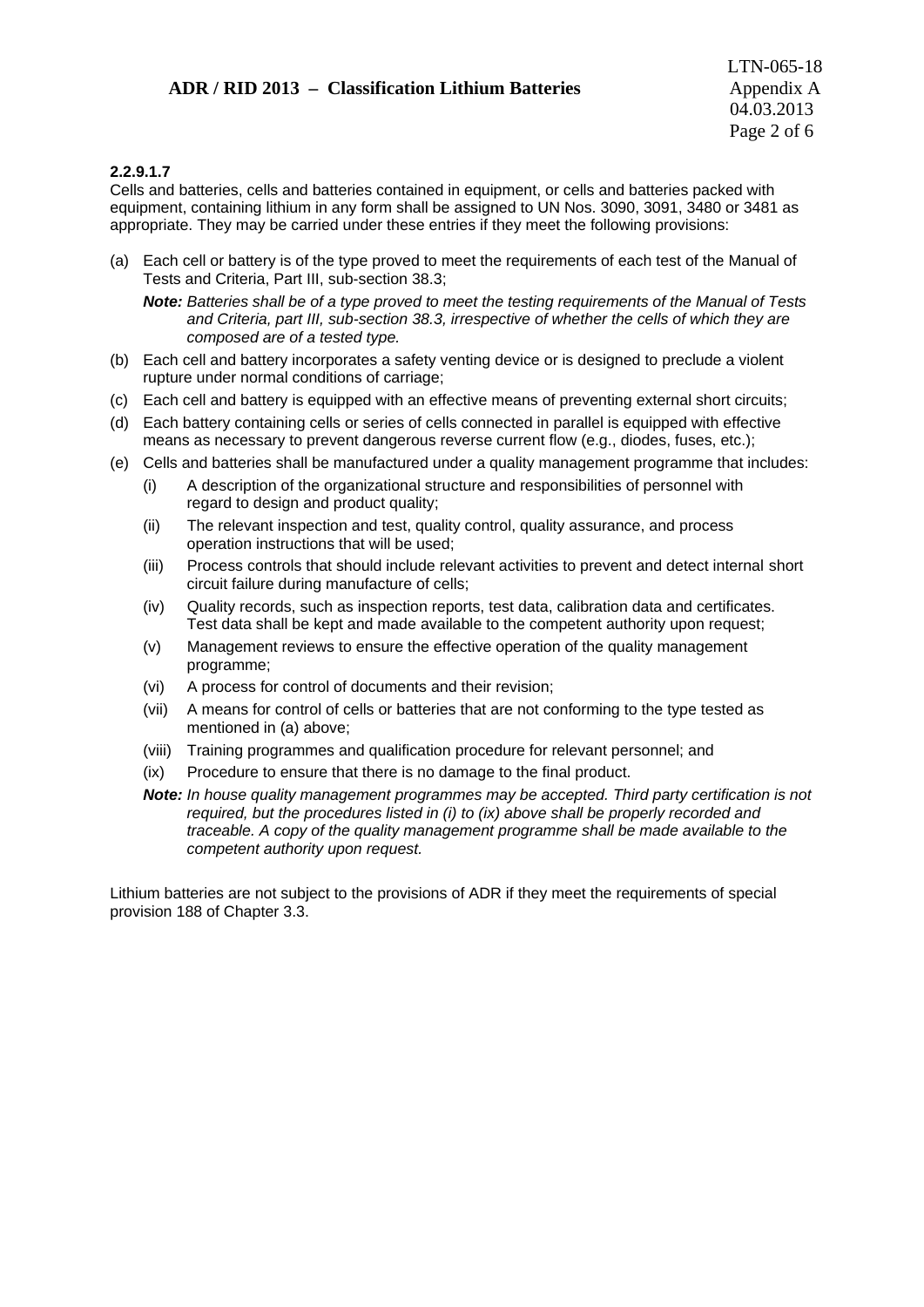### **ADR / RID 2013 – Classification Lithium Batteries** Appendix A

### **2.2.9.1.7**

Cells and batteries, cells and batteries contained in equipment, or cells and batteries packed with equipment, containing lithium in any form shall be assigned to UN Nos. 3090, 3091, 3480 or 3481 as appropriate. They may be carried under these entries if they meet the following provisions:

(a) Each cell or battery is of the type proved to meet the requirements of each test of the Manual of Tests and Criteria, Part III, sub-section 38.3;

*Note: Batteries shall be of a type proved to meet the testing requirements of the Manual of Tests and Criteria, part III, sub-section 38.3, irrespective of whether the cells of which they are composed are of a tested type.*

- (b) Each cell and battery incorporates a safety venting device or is designed to preclude a violent rupture under normal conditions of carriage;
- (c) Each cell and battery is equipped with an effective means of preventing external short circuits;
- (d) Each battery containing cells or series of cells connected in parallel is equipped with effective means as necessary to prevent dangerous reverse current flow (e.g., diodes, fuses, etc.);
- (e) Cells and batteries shall be manufactured under a quality management programme that includes:
	- (i) A description of the organizational structure and responsibilities of personnel with regard to design and product quality;
	- (ii) The relevant inspection and test, quality control, quality assurance, and process operation instructions that will be used;
	- (iii) Process controls that should include relevant activities to prevent and detect internal short circuit failure during manufacture of cells;
	- (iv) Quality records, such as inspection reports, test data, calibration data and certificates. Test data shall be kept and made available to the competent authority upon request;
	- (v) Management reviews to ensure the effective operation of the quality management programme;
	- (vi) A process for control of documents and their revision;
	- (vii) A means for control of cells or batteries that are not conforming to the type tested as mentioned in (a) above;
	- (viii) Training programmes and qualification procedure for relevant personnel; and
	- (ix) Procedure to ensure that there is no damage to the final product.
	- *Note: In house quality management programmes may be accepted. Third party certification is not required, but the procedures listed in (i) to (ix) above shall be properly recorded and traceable. A copy of the quality management programme shall be made available to the competent authority upon request.*

Lithium batteries are not subject to the provisions of ADR if they meet the requirements of special provision 188 of Chapter 3.3.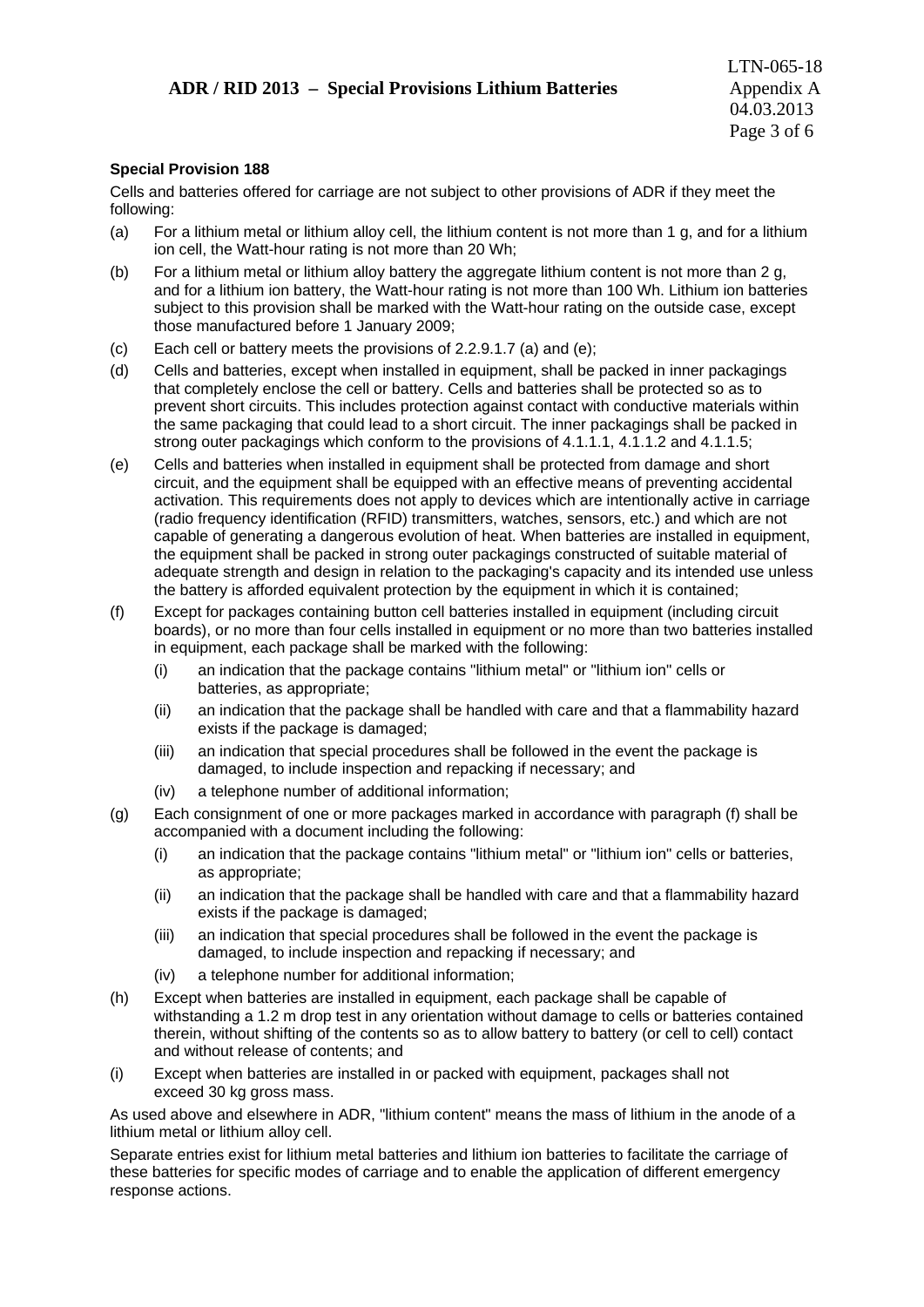### **Special Provision 188**

Cells and batteries offered for carriage are not subject to other provisions of ADR if they meet the following:

- (a) For a lithium metal or lithium alloy cell, the lithium content is not more than 1 g, and for a lithium ion cell, the Watt-hour rating is not more than 20 Wh;
- (b) For a lithium metal or lithium alloy battery the aggregate lithium content is not more than 2 g, and for a lithium ion battery, the Watt-hour rating is not more than 100 Wh. Lithium ion batteries subject to this provision shall be marked with the Watt-hour rating on the outside case, except those manufactured before 1 January 2009;
- (c) Each cell or battery meets the provisions of 2.2.9.1.7 (a) and (e);
- (d) Cells and batteries, except when installed in equipment, shall be packed in inner packagings that completely enclose the cell or battery. Cells and batteries shall be protected so as to prevent short circuits. This includes protection against contact with conductive materials within the same packaging that could lead to a short circuit. The inner packagings shall be packed in strong outer packagings which conform to the provisions of 4.1.1.1, 4.1.1.2 and 4.1.1.5;
- (e) Cells and batteries when installed in equipment shall be protected from damage and short circuit, and the equipment shall be equipped with an effective means of preventing accidental activation. This requirements does not apply to devices which are intentionally active in carriage (radio frequency identification (RFID) transmitters, watches, sensors, etc.) and which are not capable of generating a dangerous evolution of heat. When batteries are installed in equipment, the equipment shall be packed in strong outer packagings constructed of suitable material of adequate strength and design in relation to the packaging's capacity and its intended use unless the battery is afforded equivalent protection by the equipment in which it is contained;
- (f) Except for packages containing button cell batteries installed in equipment (including circuit boards), or no more than four cells installed in equipment or no more than two batteries installed in equipment, each package shall be marked with the following:
	- (i) an indication that the package contains "lithium metal" or "lithium ion" cells or batteries, as appropriate;
	- (ii) an indication that the package shall be handled with care and that a flammability hazard exists if the package is damaged;
	- (iii) an indication that special procedures shall be followed in the event the package is damaged, to include inspection and repacking if necessary; and
	- (iv) a telephone number of additional information;
- (g) Each consignment of one or more packages marked in accordance with paragraph (f) shall be accompanied with a document including the following:
	- (i) an indication that the package contains "lithium metal" or "lithium ion" cells or batteries, as appropriate;
	- (ii) an indication that the package shall be handled with care and that a flammability hazard exists if the package is damaged;
	- (iii) an indication that special procedures shall be followed in the event the package is damaged, to include inspection and repacking if necessary; and
	- (iv) a telephone number for additional information;
- (h) Except when batteries are installed in equipment, each package shall be capable of withstanding a 1.2 m drop test in any orientation without damage to cells or batteries contained therein, without shifting of the contents so as to allow battery to battery (or cell to cell) contact and without release of contents; and
- (i) Except when batteries are installed in or packed with equipment, packages shall not exceed 30 kg gross mass.

As used above and elsewhere in ADR, "lithium content" means the mass of lithium in the anode of a lithium metal or lithium alloy cell.

Separate entries exist for lithium metal batteries and lithium ion batteries to facilitate the carriage of these batteries for specific modes of carriage and to enable the application of different emergency response actions.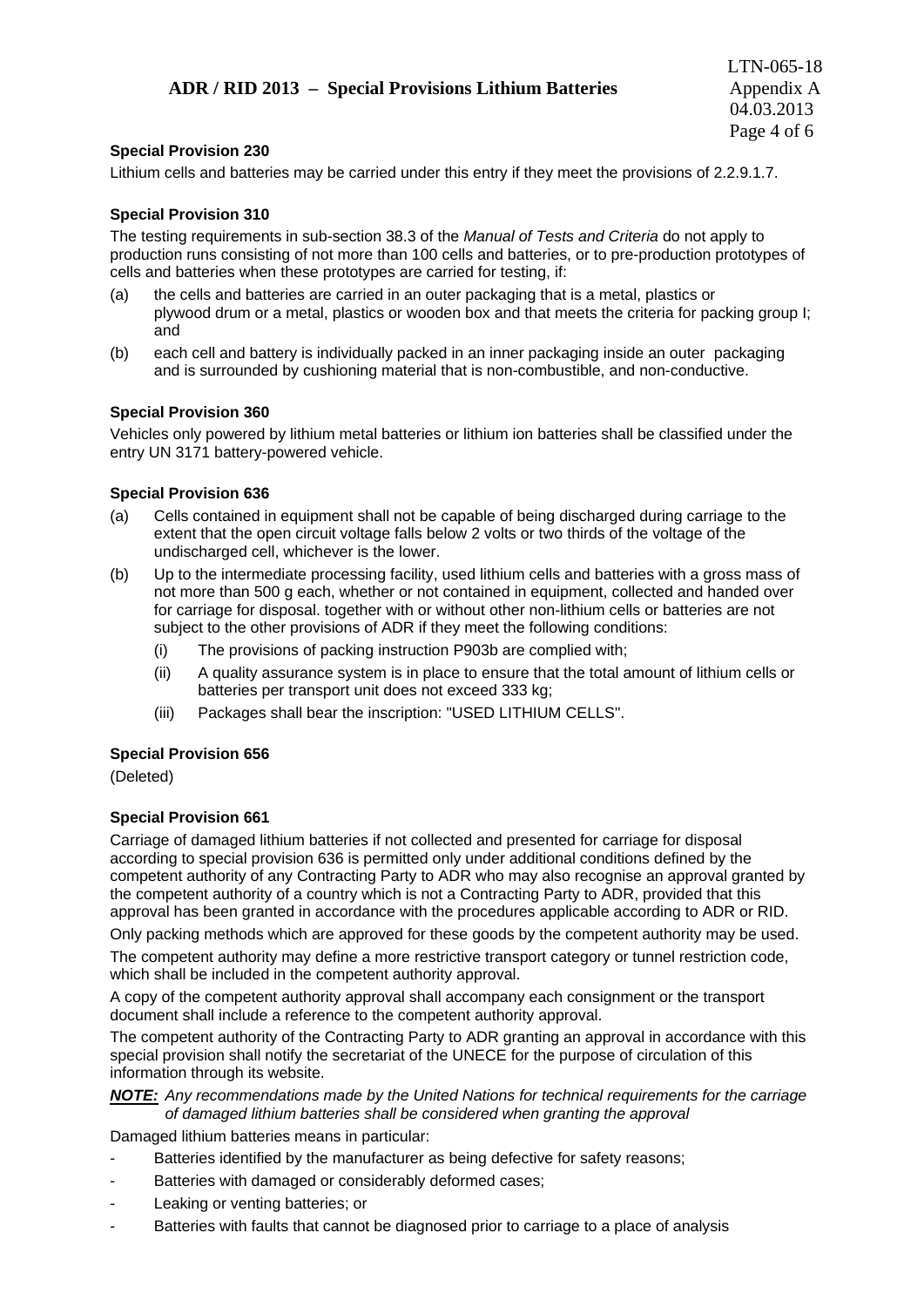### **ADR / RID 2013 – Special Provisions Lithium Batteries** Appendix A

### **Special Provision 230**

Lithium cells and batteries may be carried under this entry if they meet the provisions of 2.2.9.1.7.

### **Special Provision 310**

The testing requirements in sub-section 38.3 of the *Manual of Tests and Criteria* do not apply to production runs consisting of not more than 100 cells and batteries, or to pre-production prototypes of cells and batteries when these prototypes are carried for testing, if:

- (a) the cells and batteries are carried in an outer packaging that is a metal, plastics or plywood drum or a metal, plastics or wooden box and that meets the criteria for packing group I; and
- (b) each cell and battery is individually packed in an inner packaging inside an outer packaging and is surrounded by cushioning material that is non-combustible, and non-conductive.

### **Special Provision 360**

Vehicles only powered by lithium metal batteries or lithium ion batteries shall be classified under the entry UN 3171 battery-powered vehicle.

### **Special Provision 636**

- (a) Cells contained in equipment shall not be capable of being discharged during carriage to the extent that the open circuit voltage falls below 2 volts or two thirds of the voltage of the undischarged cell, whichever is the lower.
- (b) Up to the intermediate processing facility, used lithium cells and batteries with a gross mass of not more than 500 g each, whether or not contained in equipment, collected and handed over for carriage for disposal. together with or without other non-lithium cells or batteries are not subject to the other provisions of ADR if they meet the following conditions:
	- (i) The provisions of packing instruction P903b are complied with;
	- (ii) A quality assurance system is in place to ensure that the total amount of lithium cells or batteries per transport unit does not exceed 333 kg;
	- (iii) Packages shall bear the inscription: "USED LITHIUM CELLS".

### **Special Provision 656**

(Deleted)

### **Special Provision 661**

Carriage of damaged lithium batteries if not collected and presented for carriage for disposal according to special provision 636 is permitted only under additional conditions defined by the competent authority of any Contracting Party to ADR who may also recognise an approval granted by the competent authority of a country which is not a Contracting Party to ADR, provided that this approval has been granted in accordance with the procedures applicable according to ADR or RID.

Only packing methods which are approved for these goods by the competent authority may be used.

The competent authority may define a more restrictive transport category or tunnel restriction code, which shall be included in the competent authority approval.

A copy of the competent authority approval shall accompany each consignment or the transport document shall include a reference to the competent authority approval.

The competent authority of the Contracting Party to ADR granting an approval in accordance with this special provision shall notify the secretariat of the UNECE for the purpose of circulation of this information through its website.

*NOTE: Any recommendations made by the United Nations for technical requirements for the carriage of damaged lithium batteries shall be considered when granting the approval* 

Damaged lithium batteries means in particular:

- Batteries identified by the manufacturer as being defective for safety reasons;
- Batteries with damaged or considerably deformed cases;
- Leaking or venting batteries; or
- Batteries with faults that cannot be diagnosed prior to carriage to a place of analysis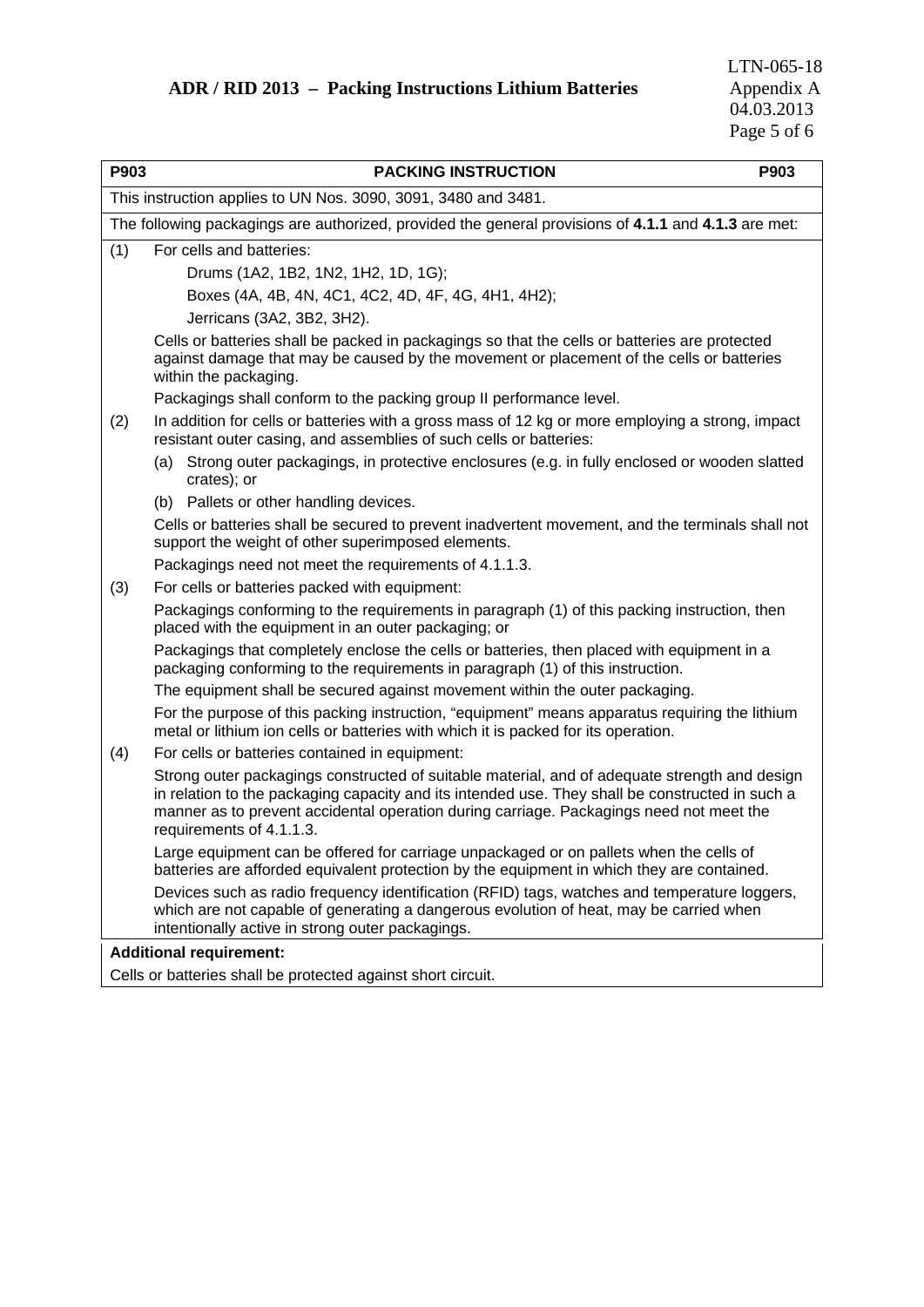| P903 | <b>PACKING INSTRUCTION</b>                                                                                                                                                                                                                                                                                              | P903 |
|------|-------------------------------------------------------------------------------------------------------------------------------------------------------------------------------------------------------------------------------------------------------------------------------------------------------------------------|------|
|      | This instruction applies to UN Nos. 3090, 3091, 3480 and 3481.                                                                                                                                                                                                                                                          |      |
|      | The following packagings are authorized, provided the general provisions of 4.1.1 and 4.1.3 are met:                                                                                                                                                                                                                    |      |
| (1)  | For cells and batteries:                                                                                                                                                                                                                                                                                                |      |
|      | Drums (1A2, 1B2, 1N2, 1H2, 1D, 1G);                                                                                                                                                                                                                                                                                     |      |
|      | Boxes (4A, 4B, 4N, 4C1, 4C2, 4D, 4F, 4G, 4H1, 4H2);                                                                                                                                                                                                                                                                     |      |
|      | Jerricans (3A2, 3B2, 3H2).                                                                                                                                                                                                                                                                                              |      |
|      | Cells or batteries shall be packed in packagings so that the cells or batteries are protected<br>against damage that may be caused by the movement or placement of the cells or batteries<br>within the packaging.                                                                                                      |      |
|      | Packagings shall conform to the packing group II performance level.                                                                                                                                                                                                                                                     |      |
| (2)  | In addition for cells or batteries with a gross mass of 12 kg or more employing a strong, impact<br>resistant outer casing, and assemblies of such cells or batteries:                                                                                                                                                  |      |
|      | (a) Strong outer packagings, in protective enclosures (e.g. in fully enclosed or wooden slatted<br>crates); or                                                                                                                                                                                                          |      |
|      | (b) Pallets or other handling devices.                                                                                                                                                                                                                                                                                  |      |
|      | Cells or batteries shall be secured to prevent inadvertent movement, and the terminals shall not<br>support the weight of other superimposed elements.                                                                                                                                                                  |      |
|      | Packagings need not meet the requirements of 4.1.1.3.                                                                                                                                                                                                                                                                   |      |
| (3)  | For cells or batteries packed with equipment:                                                                                                                                                                                                                                                                           |      |
|      | Packagings conforming to the requirements in paragraph (1) of this packing instruction, then<br>placed with the equipment in an outer packaging; or                                                                                                                                                                     |      |
|      | Packagings that completely enclose the cells or batteries, then placed with equipment in a<br>packaging conforming to the requirements in paragraph (1) of this instruction.                                                                                                                                            |      |
|      | The equipment shall be secured against movement within the outer packaging.                                                                                                                                                                                                                                             |      |
|      | For the purpose of this packing instruction, "equipment" means apparatus requiring the lithium<br>metal or lithium ion cells or batteries with which it is packed for its operation.                                                                                                                                    |      |
| (4)  | For cells or batteries contained in equipment:                                                                                                                                                                                                                                                                          |      |
|      | Strong outer packagings constructed of suitable material, and of adequate strength and design<br>in relation to the packaging capacity and its intended use. They shall be constructed in such a<br>manner as to prevent accidental operation during carriage. Packagings need not meet the<br>requirements of 4.1.1.3. |      |
|      | Large equipment can be offered for carriage unpackaged or on pallets when the cells of<br>batteries are afforded equivalent protection by the equipment in which they are contained.                                                                                                                                    |      |
|      | Devices such as radio frequency identification (RFID) tags, watches and temperature loggers,<br>which are not capable of generating a dangerous evolution of heat, may be carried when<br>intentionally active in strong outer packagings.                                                                              |      |
|      | <b>Additional requirement:</b>                                                                                                                                                                                                                                                                                          |      |
|      | Cells or batteries shall be protected against short circuit.                                                                                                                                                                                                                                                            |      |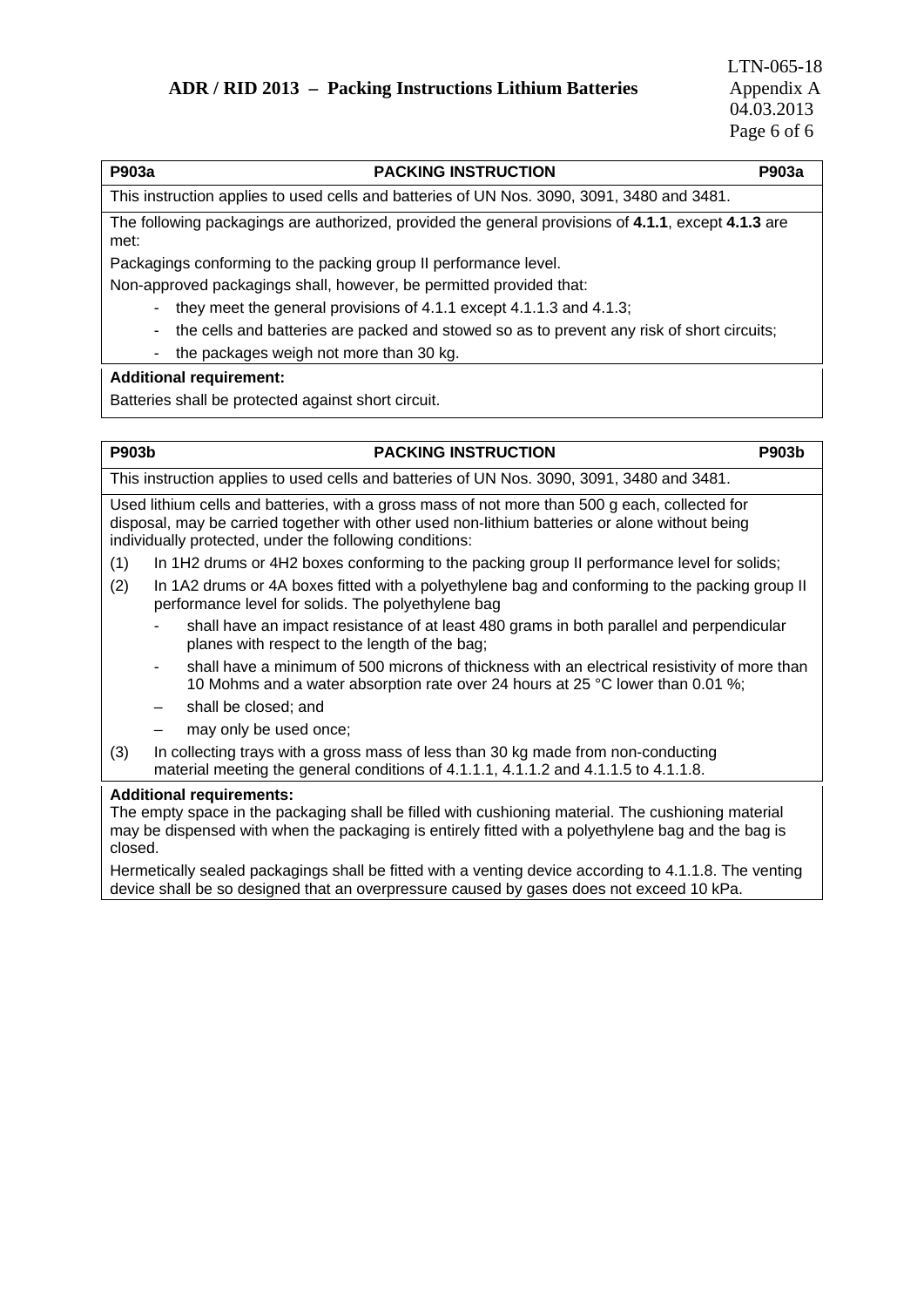# **P903a PACKING INSTRUCTION P903a**  This instruction applies to used cells and batteries of UN Nos. 3090, 3091, 3480 and 3481. The following packagings are authorized, provided the general provisions of **4.1.1**, except **4.1.3** are met: Packagings conforming to the packing group II performance level. Non-approved packagings shall, however, be permitted provided that: - they meet the general provisions of 4.1.1 except 4.1.1.3 and 4.1.3; - the cells and batteries are packed and stowed so as to prevent any risk of short circuits; - the packages weigh not more than 30 kg. **Additional requirement:**  Batteries shall be protected against short circuit.

### P903b **PACKING INSTRUCTION** P903b

This instruction applies to used cells and batteries of UN Nos. 3090, 3091, 3480 and 3481.

Used lithium cells and batteries, with a gross mass of not more than 500 g each, collected for disposal, may be carried together with other used non-lithium batteries or alone without being individually protected, under the following conditions:

- (1) In 1H2 drums or 4H2 boxes conforming to the packing group II performance level for solids;
- (2) In 1A2 drums or 4A boxes fitted with a polyethylene bag and conforming to the packing group II performance level for solids. The polyethylene bag
	- shall have an impact resistance of at least 480 grams in both parallel and perpendicular planes with respect to the length of the bag;
	- shall have a minimum of 500 microns of thickness with an electrical resistivity of more than 10 Mohms and a water absorption rate over 24 hours at 25 °C lower than 0.01 %;
	- shall be closed; and
	- may only be used once:
- (3) In collecting trays with a gross mass of less than 30 kg made from non-conducting material meeting the general conditions of 4.1.1.1, 4.1.1.2 and 4.1.1.5 to 4.1.1.8.

### **Additional requirements:**

The empty space in the packaging shall be filled with cushioning material. The cushioning material may be dispensed with when the packaging is entirely fitted with a polyethylene bag and the bag is closed.

Hermetically sealed packagings shall be fitted with a venting device according to 4.1.1.8. The venting device shall be so designed that an overpressure caused by gases does not exceed 10 kPa.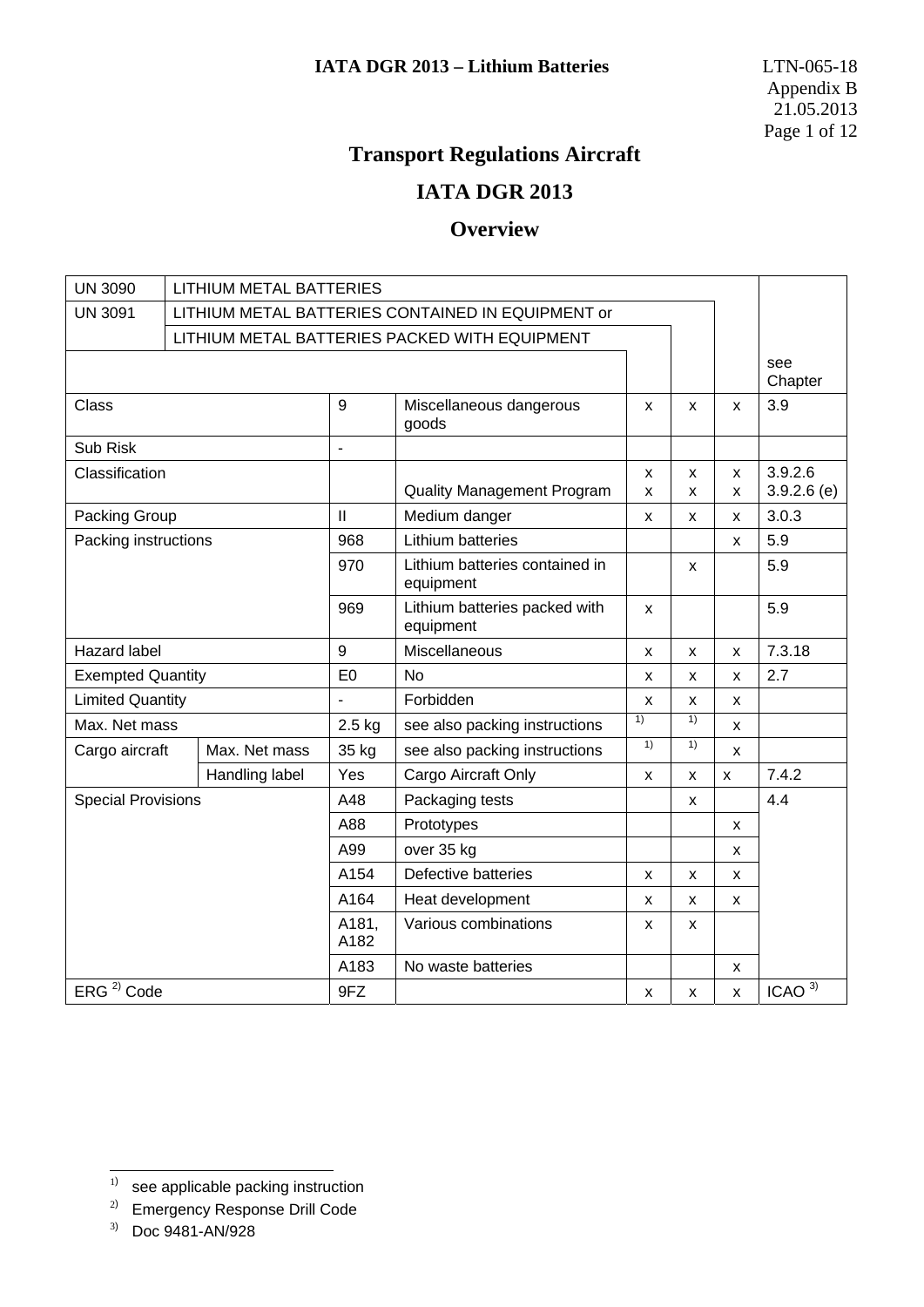# **Transport Regulations Aircraft**

# **IATA DGR 2013**

# **Overview**

| <b>UN 3090</b>            | <b>LITHIUM METAL BATTERIES</b>                    |                       |                                             |                |                |                    |                   |
|---------------------------|---------------------------------------------------|-----------------------|---------------------------------------------|----------------|----------------|--------------------|-------------------|
| <b>UN 3091</b>            | LITHIUM METAL BATTERIES CONTAINED IN EQUIPMENT or |                       |                                             |                |                |                    |                   |
|                           | LITHIUM METAL BATTERIES PACKED WITH EQUIPMENT     |                       |                                             |                |                |                    |                   |
|                           |                                                   |                       |                                             |                |                |                    | see<br>Chapter    |
| <b>Class</b>              |                                                   | 9                     | Miscellaneous dangerous<br>goods            | X              | X              | X                  | 3.9               |
| Sub Risk                  |                                                   | $\tilde{\phantom{a}}$ |                                             |                |                |                    |                   |
| Classification            |                                                   |                       |                                             | X              | X              | x                  | 3.9.2.6           |
|                           |                                                   |                       | <b>Quality Management Program</b>           | X              | X              | X                  | $3.9.2.6$ (e)     |
| Packing Group             |                                                   | $\mathbf{II}$         | Medium danger                               | X              | X              | X                  | 3.0.3             |
| Packing instructions      |                                                   | 968                   | Lithium batteries                           |                |                | x                  | 5.9               |
|                           |                                                   | 970                   | Lithium batteries contained in<br>equipment |                | X              |                    | 5.9               |
|                           |                                                   | 969                   | Lithium batteries packed with<br>equipment  | X              |                |                    | 5.9               |
| <b>Hazard label</b>       |                                                   | 9                     | Miscellaneous                               | X              | $\mathsf{x}$   | $\pmb{\times}$     | 7.3.18            |
| <b>Exempted Quantity</b>  |                                                   | E <sub>0</sub>        | <b>No</b>                                   | X              | X              | X                  | 2.7               |
| <b>Limited Quantity</b>   |                                                   |                       | Forbidden                                   | X              | X              | X                  |                   |
| Max. Net mass             |                                                   | 2.5 kg                | see also packing instructions               | 1)             | $\overline{1}$ | X                  |                   |
| Cargo aircraft            | Max. Net mass                                     | 35 kg                 | see also packing instructions               | 1)             | 1)             | X                  |                   |
|                           | Handling label                                    | Yes                   | Cargo Aircraft Only                         | X              | X              | $\pmb{\mathsf{X}}$ | 7.4.2             |
| <b>Special Provisions</b> |                                                   | A48                   | Packaging tests                             |                | X              |                    | 4.4               |
|                           |                                                   | A88                   | Prototypes                                  |                |                | x                  |                   |
|                           |                                                   | A99                   | over 35 kg                                  |                |                | x                  |                   |
|                           |                                                   | A154                  | Defective batteries                         | $\pmb{\times}$ | X              | X                  |                   |
|                           |                                                   | A164                  | Heat development                            | X              | X              | x                  |                   |
|                           |                                                   | A181,<br>A182         | Various combinations                        | X              | X              |                    |                   |
|                           |                                                   | A183                  | No waste batteries                          |                |                | x                  |                   |
| ERG <sup>2)</sup> Code    |                                                   | 9FZ                   |                                             | X              | X              | x                  | ICAO <sup>3</sup> |

<sup>1</sup>  $1)$  see applicable packing instruction

<sup>&</sup>lt;sup>2)</sup> Emergency Response Drill Code

<sup>3</sup>) Doc 9481-AN/928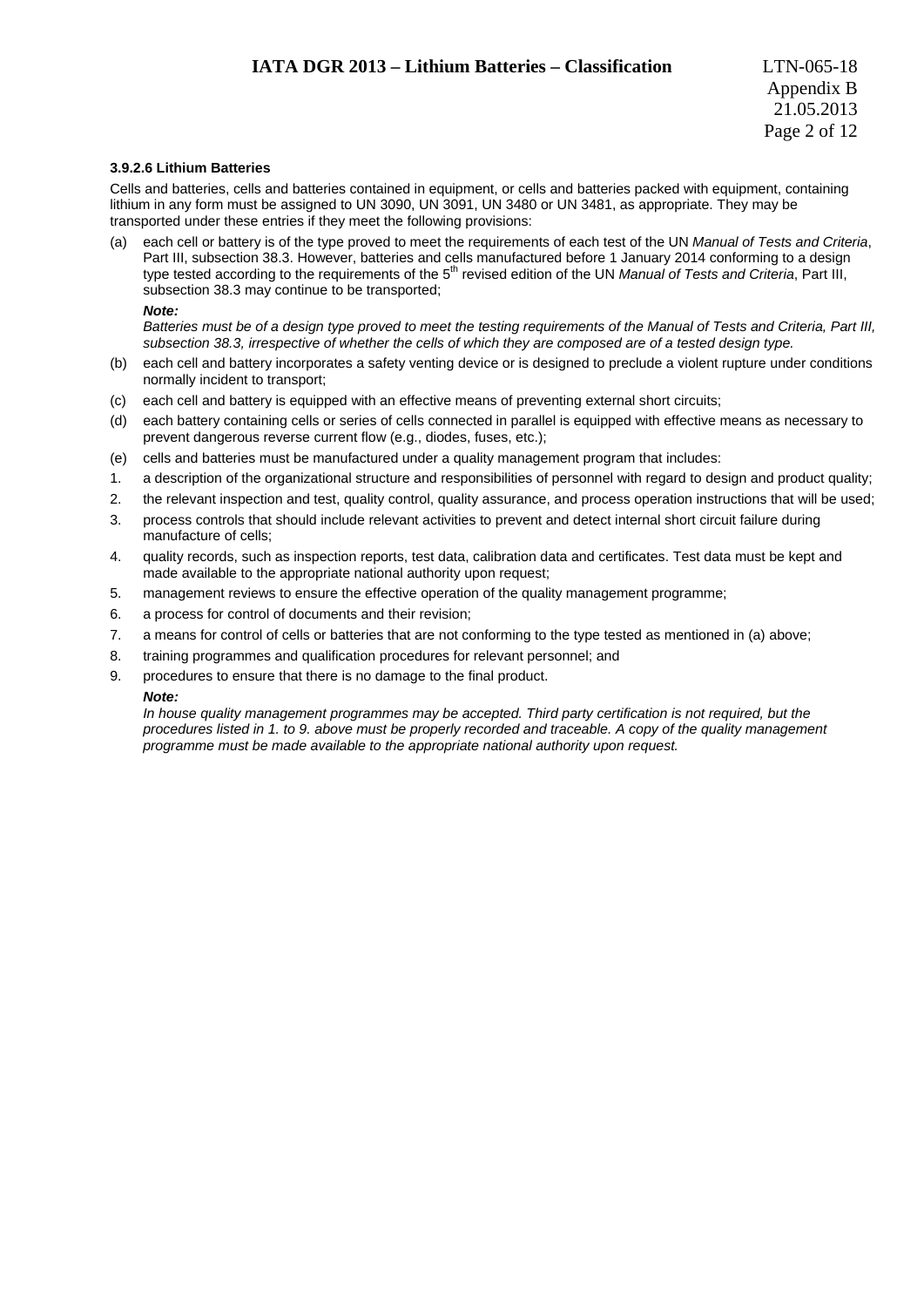### **3.9.2.6 Lithium Batteries**

Cells and batteries, cells and batteries contained in equipment, or cells and batteries packed with equipment, containing lithium in any form must be assigned to UN 3090, UN 3091, UN 3480 or UN 3481, as appropriate. They may be transported under these entries if they meet the following provisions:

(a) each cell or battery is of the type proved to meet the requirements of each test of the UN *Manual of Tests and Criteria*, Part III, subsection 38.3. However, batteries and cells manufactured before 1 January 2014 conforming to a design type tested according to the requirements of the 5<sup>th</sup> revised edition of the UN *Manual of Tests and Criteria*, Part III, subsection 38.3 may continue to be transported;

*Note:* 

 *Batteries must be of a design type proved to meet the testing requirements of the Manual of Tests and Criteria, Part III, subsection 38.3, irrespective of whether the cells of which they are composed are of a tested design type.* 

- (b) each cell and battery incorporates a safety venting device or is designed to preclude a violent rupture under conditions normally incident to transport;
- (c) each cell and battery is equipped with an effective means of preventing external short circuits;
- (d) each battery containing cells or series of cells connected in parallel is equipped with effective means as necessary to prevent dangerous reverse current flow (e.g., diodes, fuses, etc.);
- (e) cells and batteries must be manufactured under a quality management program that includes:
- 1. a description of the organizational structure and responsibilities of personnel with regard to design and product quality;
- 2. the relevant inspection and test, quality control, quality assurance, and process operation instructions that will be used;
- 3. process controls that should include relevant activities to prevent and detect internal short circuit failure during manufacture of cells;
- 4. quality records, such as inspection reports, test data, calibration data and certificates. Test data must be kept and made available to the appropriate national authority upon request;
- 5. management reviews to ensure the effective operation of the quality management programme;
- 6. a process for control of documents and their revision;
- 7. a means for control of cells or batteries that are not conforming to the type tested as mentioned in (a) above;
- 8. training programmes and qualification procedures for relevant personnel; and
- 9. procedures to ensure that there is no damage to the final product.

#### *Note:*

 *In house quality management programmes may be accepted. Third party certification is not required, but the procedures listed in 1. to 9. above must be properly recorded and traceable. A copy of the quality management programme must be made available to the appropriate national authority upon request.*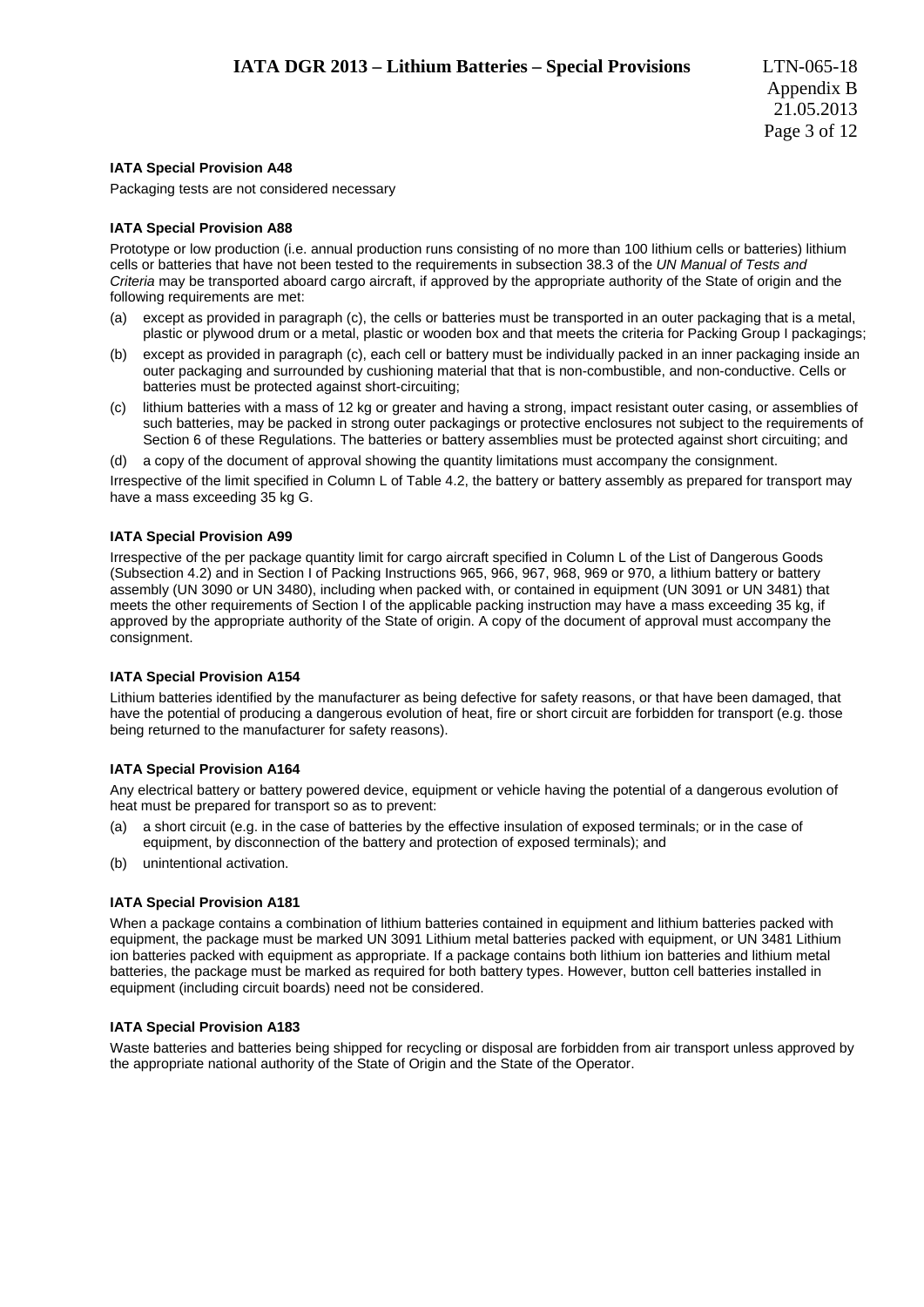### **IATA Special Provision A48**

Packaging tests are not considered necessary

### **IATA Special Provision A88**

Prototype or low production (i.e. annual production runs consisting of no more than 100 lithium cells or batteries) lithium cells or batteries that have not been tested to the requirements in subsection 38.3 of the *UN Manual of Tests and Criteria* may be transported aboard cargo aircraft, if approved by the appropriate authority of the State of origin and the following requirements are met:

- (a) except as provided in paragraph (c), the cells or batteries must be transported in an outer packaging that is a metal, plastic or plywood drum or a metal, plastic or wooden box and that meets the criteria for Packing Group I packagings;
- (b) except as provided in paragraph (c), each cell or battery must be individually packed in an inner packaging inside an outer packaging and surrounded by cushioning material that that is non-combustible, and non-conductive. Cells or batteries must be protected against short-circuiting;
- (c) lithium batteries with a mass of 12 kg or greater and having a strong, impact resistant outer casing, or assemblies of such batteries, may be packed in strong outer packagings or protective enclosures not subject to the requirements of Section 6 of these Regulations. The batteries or battery assemblies must be protected against short circuiting; and
- (d) a copy of the document of approval showing the quantity limitations must accompany the consignment.

Irrespective of the limit specified in Column L of Table 4.2, the battery or battery assembly as prepared for transport may have a mass exceeding 35 kg G.

### **IATA Special Provision A99**

Irrespective of the per package quantity limit for cargo aircraft specified in Column L of the List of Dangerous Goods (Subsection 4.2) and in Section I of Packing Instructions 965, 966, 967, 968, 969 or 970, a lithium battery or battery assembly (UN 3090 or UN 3480), including when packed with, or contained in equipment (UN 3091 or UN 3481) that meets the other requirements of Section I of the applicable packing instruction may have a mass exceeding 35 kg, if approved by the appropriate authority of the State of origin. A copy of the document of approval must accompany the consignment.

#### **IATA Special Provision A154**

Lithium batteries identified by the manufacturer as being defective for safety reasons, or that have been damaged, that have the potential of producing a dangerous evolution of heat, fire or short circuit are forbidden for transport (e.g. those being returned to the manufacturer for safety reasons).

#### **IATA Special Provision A164**

Any electrical battery or battery powered device, equipment or vehicle having the potential of a dangerous evolution of heat must be prepared for transport so as to prevent:

- (a) a short circuit (e.g. in the case of batteries by the effective insulation of exposed terminals; or in the case of equipment, by disconnection of the battery and protection of exposed terminals); and
- (b) unintentional activation.

### **IATA Special Provision A181**

When a package contains a combination of lithium batteries contained in equipment and lithium batteries packed with equipment, the package must be marked UN 3091 Lithium metal batteries packed with equipment, or UN 3481 Lithium ion batteries packed with equipment as appropriate. If a package contains both lithium ion batteries and lithium metal batteries, the package must be marked as required for both battery types. However, button cell batteries installed in equipment (including circuit boards) need not be considered.

#### **IATA Special Provision A183**

Waste batteries and batteries being shipped for recycling or disposal are forbidden from air transport unless approved by the appropriate national authority of the State of Origin and the State of the Operator.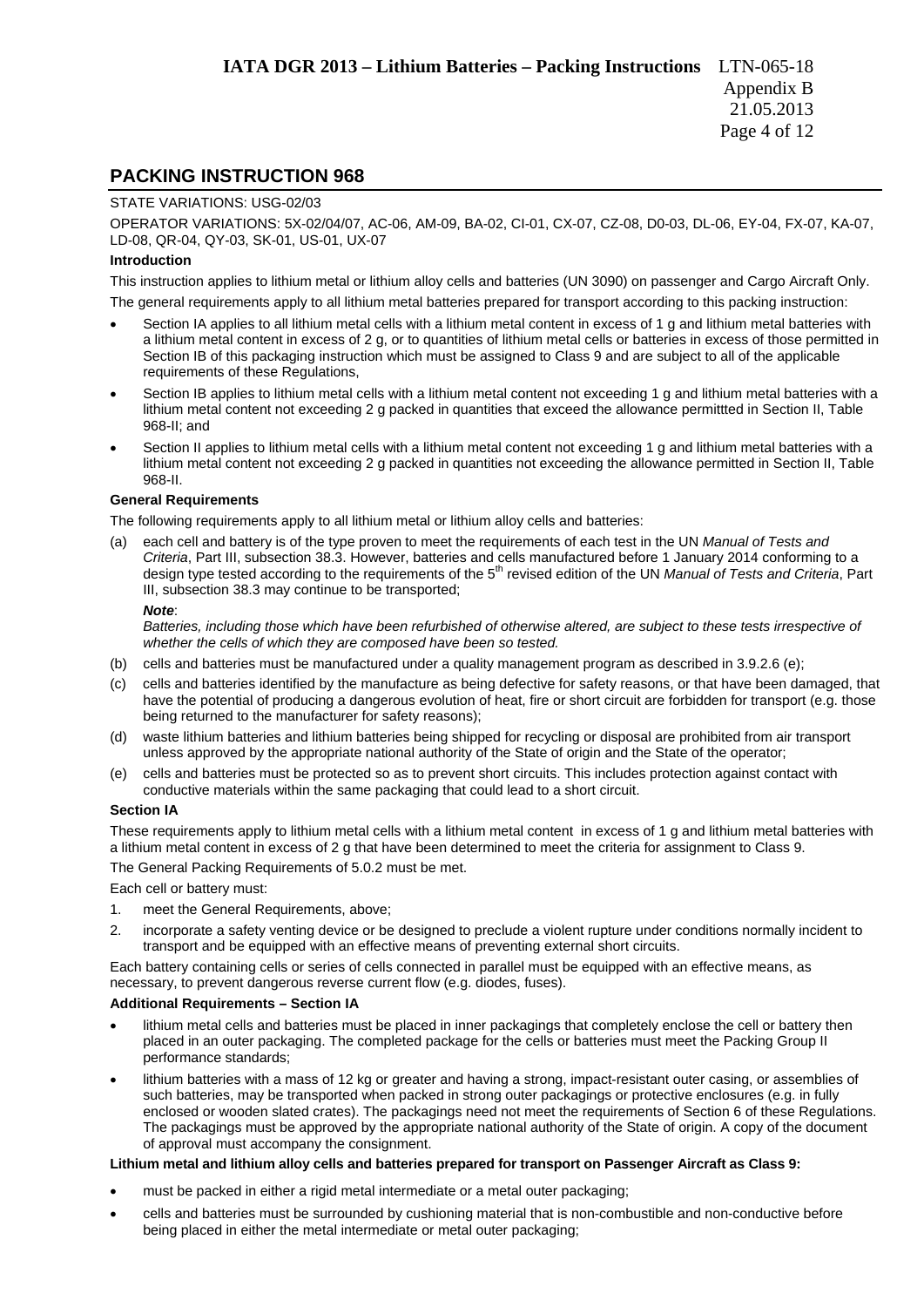### **PACKING INSTRUCTION 968**

#### STATE VARIATIONS: USG-02/03

OPERATOR VARIATIONS: 5X-02/04/07, AC-06, AM-09, BA-02, CI-01, CX-07, CZ-08, D0-03, DL-06, EY-04, FX-07, KA-07, LD-08, QR-04, QY-03, SK-01, US-01, UX-07

#### **Introduction**

This instruction applies to lithium metal or lithium alloy cells and batteries (UN 3090) on passenger and Cargo Aircraft Only. The general requirements apply to all lithium metal batteries prepared for transport according to this packing instruction:

- Section IA applies to all lithium metal cells with a lithium metal content in excess of 1 g and lithium metal batteries with a lithium metal content in excess of 2 g, or to quantities of lithium metal cells or batteries in excess of those permitted in Section IB of this packaging instruction which must be assigned to Class 9 and are subject to all of the applicable requirements of these Regulations,
- Section IB applies to lithium metal cells with a lithium metal content not exceeding 1 g and lithium metal batteries with a lithium metal content not exceeding 2 g packed in quantities that exceed the allowance permittted in Section II, Table 968-II; and
- Section II applies to lithium metal cells with a lithium metal content not exceeding 1 g and lithium metal batteries with a lithium metal content not exceeding 2 g packed in quantities not exceeding the allowance permitted in Section II, Table 968-II.

### **General Requirements**

The following requirements apply to all lithium metal or lithium alloy cells and batteries:

(a) each cell and battery is of the type proven to meet the requirements of each test in the UN *Manual of Tests and Criteria*, Part III, subsection 38.3. However, batteries and cells manufactured before 1 January 2014 conforming to a design type tested according to the requirements of the 5th revised edition of the UN *Manual of Tests and Criteria*, Part III, subsection 38.3 may continue to be transported;

#### *Note*:

*Batteries, including those which have been refurbished of otherwise altered, are subject to these tests irrespective of whether the cells of which they are composed have been so tested.* 

- (b) cells and batteries must be manufactured under a quality management program as described in 3.9.2.6 (e);
- (c) cells and batteries identified by the manufacture as being defective for safety reasons, or that have been damaged, that have the potential of producing a dangerous evolution of heat, fire or short circuit are forbidden for transport (e.g. those being returned to the manufacturer for safety reasons);
- (d) waste lithium batteries and lithium batteries being shipped for recycling or disposal are prohibited from air transport unless approved by the appropriate national authority of the State of origin and the State of the operator;
- (e) cells and batteries must be protected so as to prevent short circuits. This includes protection against contact with conductive materials within the same packaging that could lead to a short circuit.

#### **Section IA**

These requirements apply to lithium metal cells with a lithium metal content in excess of 1 g and lithium metal batteries with a lithium metal content in excess of 2 g that have been determined to meet the criteria for assignment to Class 9.

The General Packing Requirements of 5.0.2 must be met.

Each cell or battery must:

- 1. meet the General Requirements, above;
- 2. incorporate a safety venting device or be designed to preclude a violent rupture under conditions normally incident to transport and be equipped with an effective means of preventing external short circuits.

Each battery containing cells or series of cells connected in parallel must be equipped with an effective means, as necessary, to prevent dangerous reverse current flow (e.g. diodes, fuses).

#### **Additional Requirements – Section IA**

- lithium metal cells and batteries must be placed in inner packagings that completely enclose the cell or battery then placed in an outer packaging. The completed package for the cells or batteries must meet the Packing Group II performance standards;
- lithium batteries with a mass of 12 kg or greater and having a strong, impact-resistant outer casing, or assemblies of such batteries, may be transported when packed in strong outer packagings or protective enclosures (e.g. in fully enclosed or wooden slated crates). The packagings need not meet the requirements of Section 6 of these Regulations. The packagings must be approved by the appropriate national authority of the State of origin. A copy of the document of approval must accompany the consignment.

### **Lithium metal and lithium alloy cells and batteries prepared for transport on Passenger Aircraft as Class 9:**

- must be packed in either a rigid metal intermediate or a metal outer packaging;
- cells and batteries must be surrounded by cushioning material that is non-combustible and non-conductive before being placed in either the metal intermediate or metal outer packaging;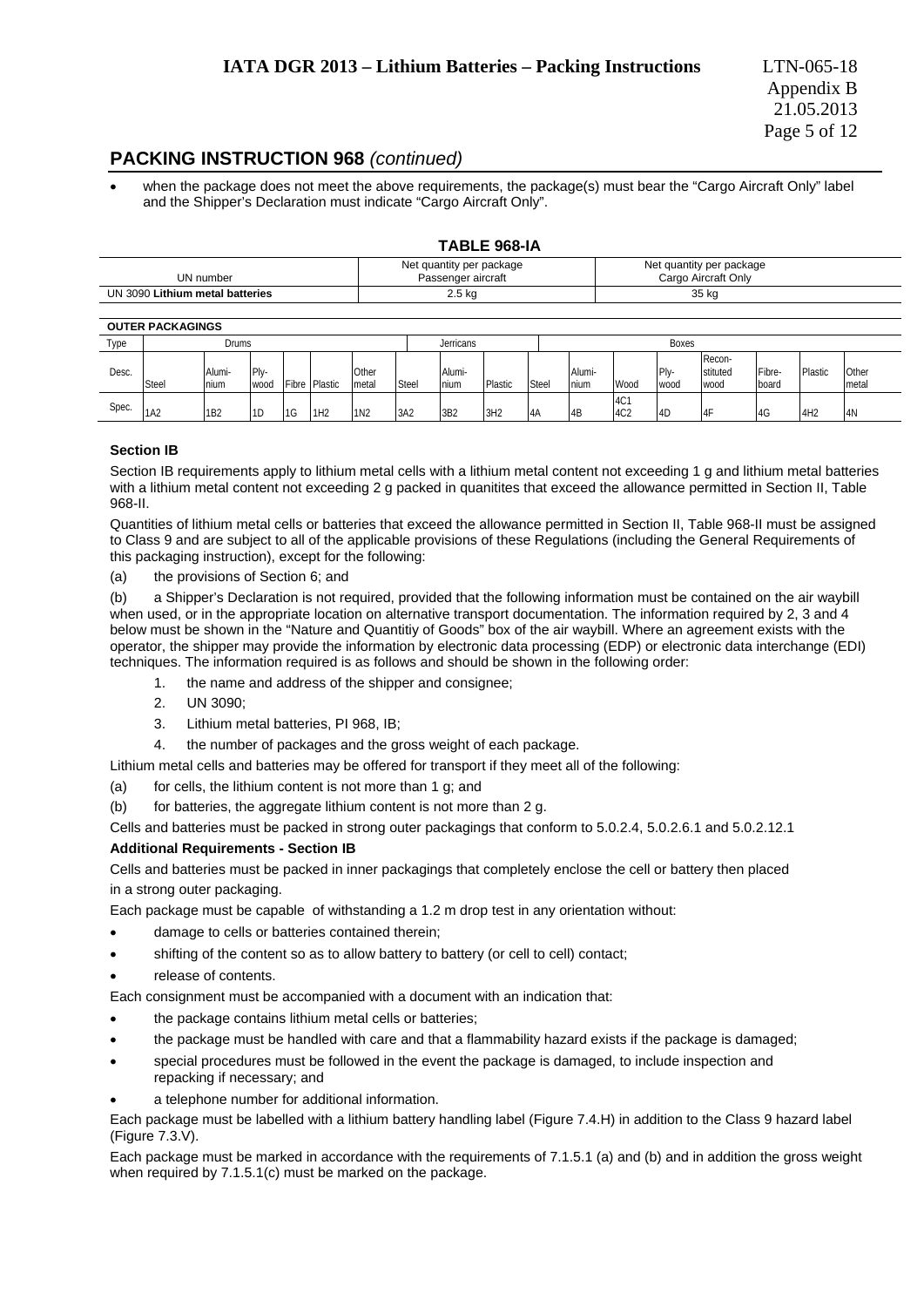### **PACKING INSTRUCTION 968** *(continued)*

 when the package does not meet the above requirements, the package(s) must bear the "Cargo Aircraft Only" label and the Shipper's Declaration must indicate "Cargo Aircraft Only".

### **TABLE 968-IA**

| UN number                          | Net quantity per package<br>Passenger aircraft | Net quantity per package<br>Cargo Aircraft Only |
|------------------------------------|------------------------------------------------|-------------------------------------------------|
| Lithium metal batteries<br>UN 3090 | 2.5 kg                                         | 35 kg                                           |

#### **OUTER PACKAGINGS**

|       | ---------------- |                 |              |                 |                 |                 |       |                 |         |       |                |                        |                          |                            |                 |         |                 |
|-------|------------------|-----------------|--------------|-----------------|-----------------|-----------------|-------|-----------------|---------|-------|----------------|------------------------|--------------------------|----------------------------|-----------------|---------|-----------------|
| Type  |                  | Drums           |              |                 |                 |                 |       | Jerricans       |         |       |                |                        | <b>Boxes</b>             |                            |                 |         |                 |
| Desc. | Steel            | Alumi-<br>nium  | Plv-<br>wood |                 | Fibre Plastic   | Other<br>metal  | Steel | Alumi-<br>nium  | Plastic | Steel | Alumi-<br>nium | Wood                   | IPI <sub>v</sub><br>wood | Recon-<br>stituted<br>wood | Fibre-<br>board | Plastic | Other<br>Imetal |
| Spec. | 1A2              | 1 <sub>B2</sub> | 1D           | I <sub>1G</sub> | 1H <sub>2</sub> | 1N <sub>2</sub> | 3A2   | 3B <sub>2</sub> | 3H2     | 4A    | 4B             | 4C1<br>4C <sub>2</sub> | 4D                       | 14F                        | 4G              | 4H2     | 4N              |

### **Section IB**

Section IB requirements apply to lithium metal cells with a lithium metal content not exceeding 1 g and lithium metal batteries with a lithium metal content not exceeding 2 g packed in quanitites that exceed the allowance permitted in Section II, Table 968-II.

Quantities of lithium metal cells or batteries that exceed the allowance permitted in Section II, Table 968-II must be assigned to Class 9 and are subject to all of the applicable provisions of these Regulations (including the General Requirements of this packaging instruction), except for the following:

(a) the provisions of Section 6; and

(b) a Shipper's Declaration is not required, provided that the following information must be contained on the air waybill when used, or in the appropriate location on alternative transport documentation. The information required by 2, 3 and 4 below must be shown in the "Nature and Quantitiy of Goods" box of the air waybill. Where an agreement exists with the operator, the shipper may provide the information by electronic data processing (EDP) or electronic data interchange (EDI) techniques. The information required is as follows and should be shown in the following order:

- 1. the name and address of the shipper and consignee;
- 2. UN 3090;
- 3. Lithium metal batteries, PI 968, IB;
- 4. the number of packages and the gross weight of each package.

Lithium metal cells and batteries may be offered for transport if they meet all of the following:

(a) for cells, the lithium content is not more than 1 g; and

(b) for batteries, the aggregate lithium content is not more than 2 g.

Cells and batteries must be packed in strong outer packagings that conform to 5.0.2.4, 5.0.2.6.1 and 5.0.2.12.1

### **Additional Requirements - Section IB**

Cells and batteries must be packed in inner packagings that completely enclose the cell or battery then placed in a strong outer packaging.

Each package must be capable of withstanding a 1.2 m drop test in any orientation without:

- damage to cells or batteries contained therein;
- shifting of the content so as to allow battery to battery (or cell to cell) contact;
- release of contents.

Each consignment must be accompanied with a document with an indication that:

- the package contains lithium metal cells or batteries;
- the package must be handled with care and that a flammability hazard exists if the package is damaged;
- special procedures must be followed in the event the package is damaged, to include inspection and repacking if necessary; and
- a telephone number for additional information.

Each package must be labelled with a lithium battery handling label (Figure 7.4.H) in addition to the Class 9 hazard label (Figure 7.3.V).

Each package must be marked in accordance with the requirements of 7.1.5.1 (a) and (b) and in addition the gross weight when required by 7.1.5.1(c) must be marked on the package.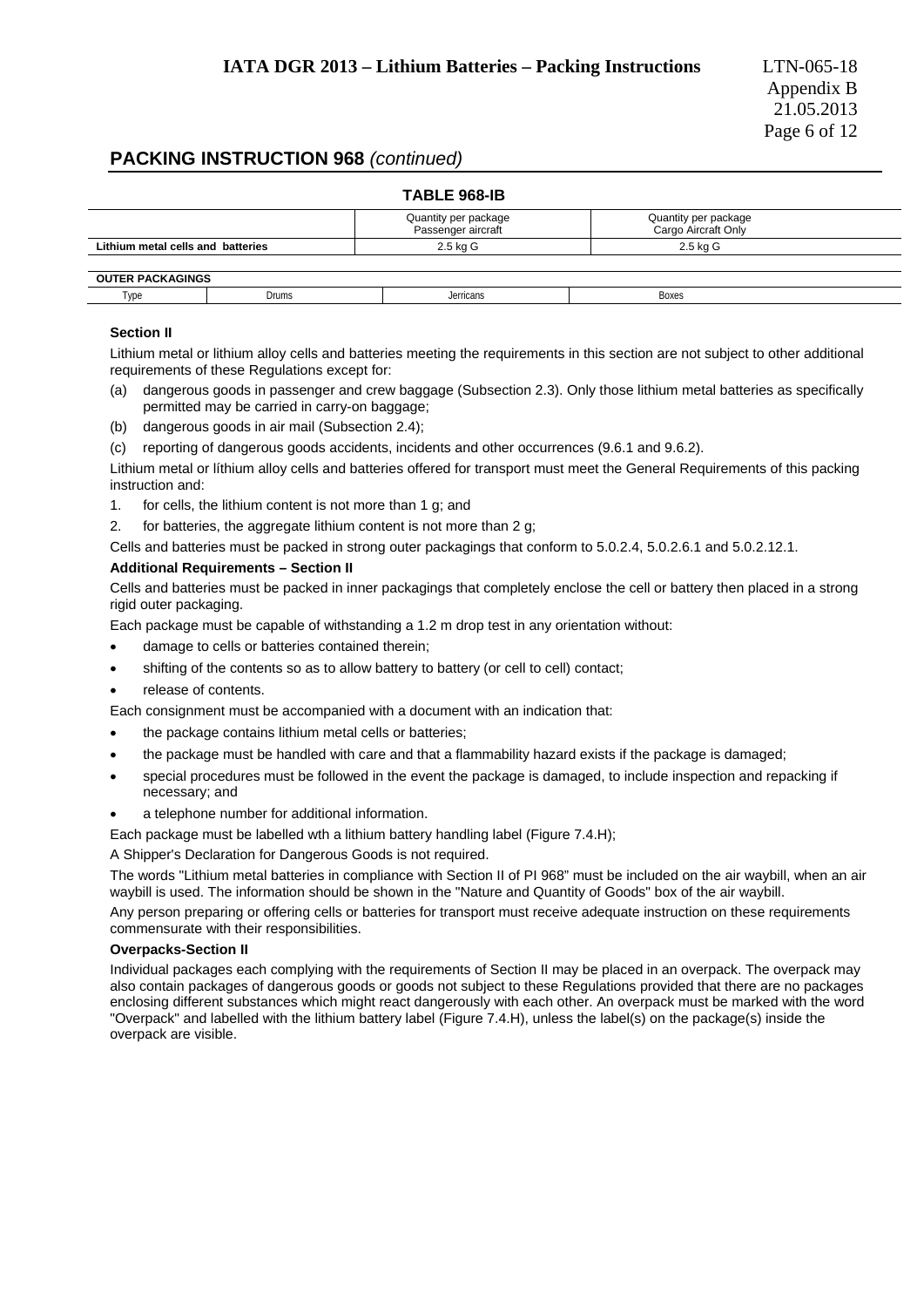### **PACKING INSTRUCTION 968** *(continued)*

|                                   | Quantity per package<br>Passenger aircraft | Quantity per package<br>Cargo Aircraft Only |  |
|-----------------------------------|--------------------------------------------|---------------------------------------------|--|
| Lithium metal cells and batteries | 2.5 kg G                                   | 2.5 kg G                                    |  |

| VD<br><b>Drums</b><br>Boxes<br>lerricans | ו טט<br>-1016<br>. . |  |  |
|------------------------------------------|----------------------|--|--|
|                                          |                      |  |  |

### **Section II**

Lithium metal or lithium alloy cells and batteries meeting the requirements in this section are not subject to other additional requirements of these Regulations except for:

- (a) dangerous goods in passenger and crew baggage (Subsection 2.3). Only those lithium metal batteries as specifically permitted may be carried in carry-on baggage;
- (b) dangerous goods in air mail (Subsection 2.4);
- (c) reporting of dangerous goods accidents, incidents and other occurrences (9.6.1 and 9.6.2).

Lithium metal or líthium alloy cells and batteries offered for transport must meet the General Requirements of this packing instruction and:

- 1. for cells, the lithium content is not more than 1 g; and
- 2. for batteries, the aggregate lithium content is not more than 2 g;

Cells and batteries must be packed in strong outer packagings that conform to 5.0.2.4, 5.0.2.6.1 and 5.0.2.12.1.

### **Additional Requirements – Section II**

Cells and batteries must be packed in inner packagings that completely enclose the cell or battery then placed in a strong rigid outer packaging.

Each package must be capable of withstanding a 1.2 m drop test in any orientation without:

- damage to cells or batteries contained therein;
- shifting of the contents so as to allow battery to battery (or cell to cell) contact;
- release of contents.

Each consignment must be accompanied with a document with an indication that:

- the package contains lithium metal cells or batteries;
- the package must be handled with care and that a flammability hazard exists if the package is damaged;
- special procedures must be followed in the event the package is damaged, to include inspection and repacking if necessary; and
- a telephone number for additional information.
- Each package must be labelled wth a lithium battery handling label (Figure 7.4.H);

A Shipper's Declaration for Dangerous Goods is not required.

The words "Lithium metal batteries in compliance with Section II of PI 968" must be included on the air waybill, when an air waybill is used. The information should be shown in the "Nature and Quantity of Goods" box of the air waybill.

Any person preparing or offering cells or batteries for transport must receive adequate instruction on these requirements commensurate with their responsibilities.

#### **Overpacks-Section II**

Individual packages each complying with the requirements of Section II may be placed in an overpack. The overpack may also contain packages of dangerous goods or goods not subject to these Regulations provided that there are no packages enclosing different substances which might react dangerously with each other. An overpack must be marked with the word "Overpack" and labelled with the lithium battery label (Figure 7.4.H), unless the label(s) on the package(s) inside the overpack are visible.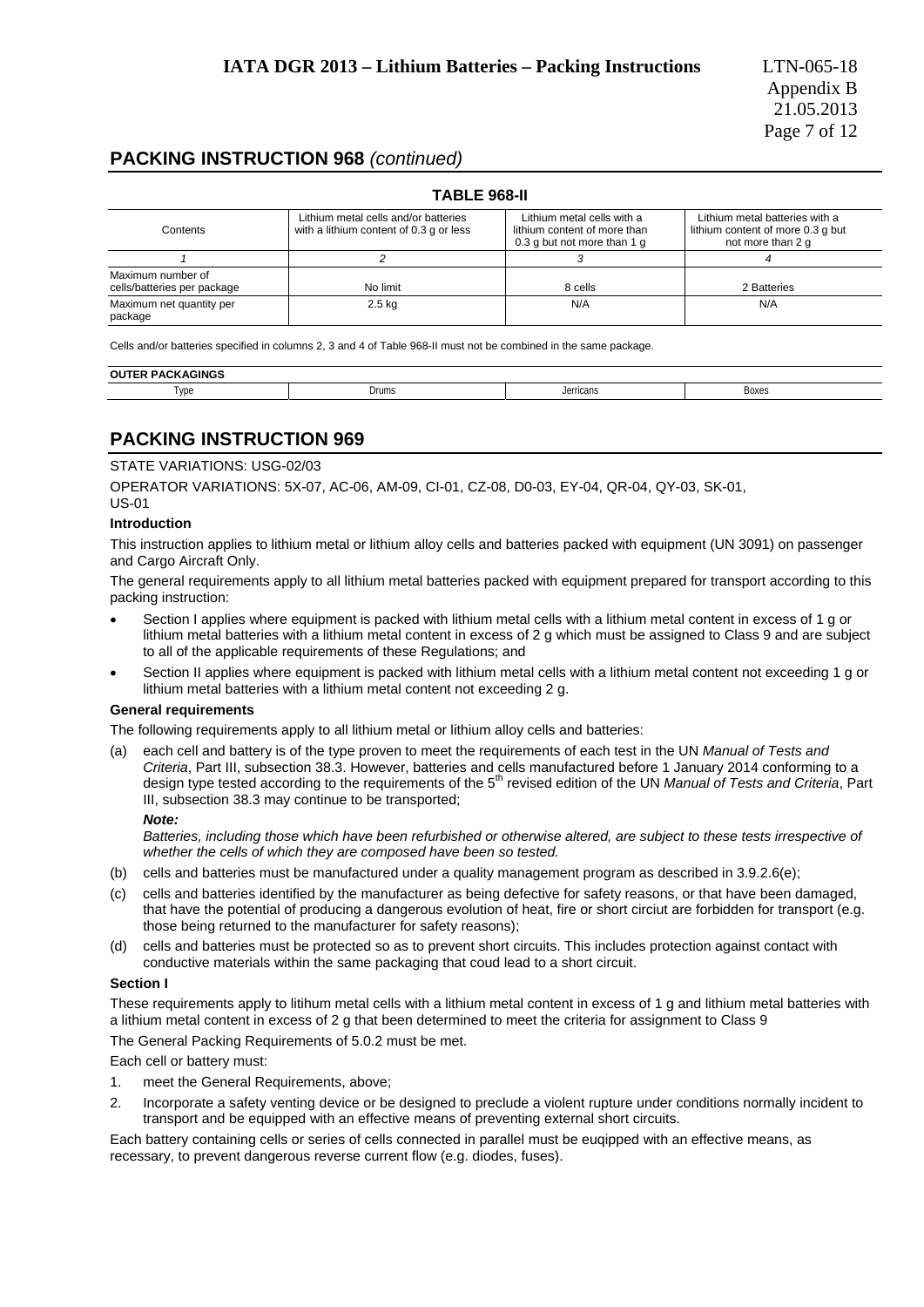### **PACKING INSTRUCTION 968** *(continued)*

|                                                  | <b>TABLE 968-II</b>                                                             |                                                                                           |                                                                                          |
|--------------------------------------------------|---------------------------------------------------------------------------------|-------------------------------------------------------------------------------------------|------------------------------------------------------------------------------------------|
| Contents                                         | Lithium metal cells and/or batteries<br>with a lithium content of 0.3 g or less | Lithium metal cells with a<br>lithium content of more than<br>0.3 g but not more than 1 g | Lithium metal batteries with a<br>lithium content of more 0.3 g but<br>not more than 2 g |
|                                                  |                                                                                 |                                                                                           |                                                                                          |
| Maximum number of<br>cells/batteries per package | No limit                                                                        | 8 cells                                                                                   | 2 Batteries                                                                              |
| Maximum net quantity per<br>package              | $2.5$ kg                                                                        | N/A                                                                                       | N/A                                                                                      |

Cells and/or batteries specified in columns 2, 3 and 4 of Table 968-II must not be combined in the same package.

| ้อบา<br>, , |       |                |            |  |
|-------------|-------|----------------|------------|--|
| Type        | Drums | lerricans<br>. | Boxes<br>. |  |

### **PACKING INSTRUCTION 969**

### STATE VARIATIONS: USG-02/03

OPERATOR VARIATIONS: 5X-07, AC-06, AM-09, CI-01, CZ-08, D0-03, EY-04, QR-04, QY-03, SK-01, US-01

### **Introduction**

This instruction applies to lithium metal or lithium alloy cells and batteries packed with equipment (UN 3091) on passenger and Cargo Aircraft Only.

The general requirements apply to all lithium metal batteries packed with equipment prepared for transport according to this packing instruction:

- Section I applies where equipment is packed with lithium metal cells with a lithium metal content in excess of 1 g or lithium metal batteries with a lithium metal content in excess of 2 g which must be assigned to Class 9 and are subject to all of the applicable requirements of these Regulations; and
- Section II applies where equipment is packed with lithium metal cells with a lithium metal content not exceeding 1 g or lithium metal batteries with a lithium metal content not exceeding 2 g.

#### **General requirements**

The following requirements apply to all lithium metal or lithium alloy cells and batteries:

(a) each cell and battery is of the type proven to meet the requirements of each test in the UN *Manual of Tests and Criteria*, Part III, subsection 38.3. However, batteries and cells manufactured before 1 January 2014 conforming to a design type tested according to the requirements of the 5th revised edition of the UN *Manual of Tests and Criteria*, Part III, subsection 38.3 may continue to be transported;

#### *Note:*

*Batteries, including those which have been refurbished or otherwise altered, are subject to these tests irrespective of whether the cells of which they are composed have been so tested.* 

- (b) cells and batteries must be manufactured under a quality management program as described in 3.9.2.6(e);
- (c) cells and batteries identified by the manufacturer as being defective for safety reasons, or that have been damaged, that have the potential of producing a dangerous evolution of heat, fire or short circiut are forbidden for transport (e.g. those being returned to the manufacturer for safety reasons);
- (d) cells and batteries must be protected so as to prevent short circuits. This includes protection against contact with conductive materials within the same packaging that coud lead to a short circuit.

### **Section I**

These requirements apply to litihum metal cells with a lithium metal content in excess of 1 g and lithium metal batteries with a lithium metal content in excess of 2 g that been determined to meet the criteria for assignment to Class 9

The General Packing Requirements of 5.0.2 must be met.

Each cell or battery must:

- 1. meet the General Requirements, above;
- 2. Incorporate a safety venting device or be designed to preclude a violent rupture under conditions normally incident to transport and be equipped with an effective means of preventing external short circuits.

Each battery containing cells or series of cells connected in parallel must be euqipped with an effective means, as recessary, to prevent dangerous reverse current flow (e.g. diodes, fuses).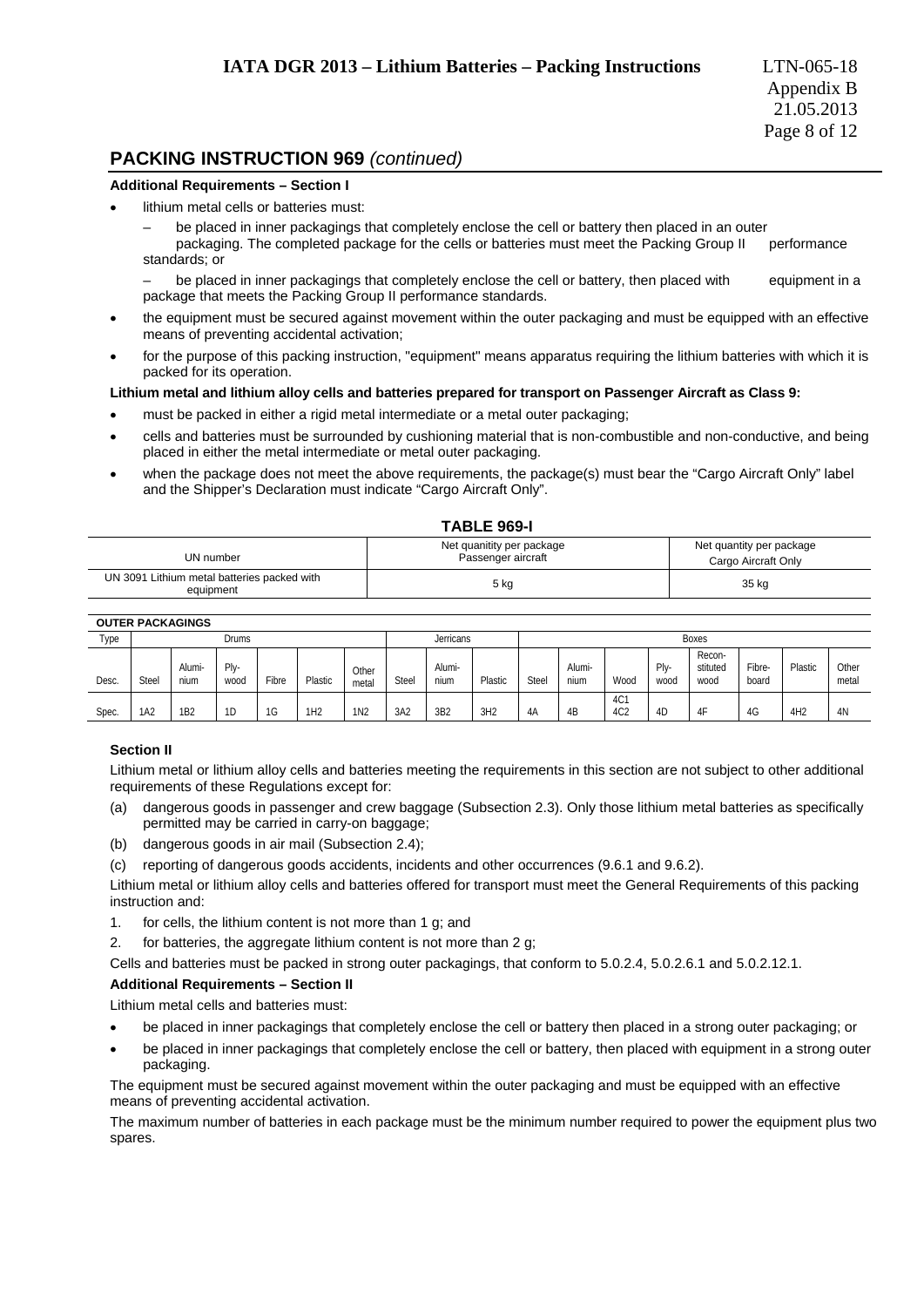### **PACKING INSTRUCTION 969** *(continued)*

#### **Additional Requirements – Section I**

- lithium metal cells or batteries must:
	- be placed in inner packagings that completely enclose the cell or battery then placed in an outer packaging. The completed package for the cells or batteries must meet the Packing Group II performance standards; or

be placed in inner packagings that completely enclose the cell or battery, then placed with equipment in a package that meets the Packing Group II performance standards.

- the equipment must be secured against movement within the outer packaging and must be equipped with an effective means of preventing accidental activation;
- for the purpose of this packing instruction, "equipment" means apparatus requiring the lithium batteries with which it is packed for its operation.

### **Lithium metal and lithium alloy cells and batteries prepared for transport on Passenger Aircraft as Class 9:**

- must be packed in either a rigid metal intermediate or a metal outer packaging;
- cells and batteries must be surrounded by cushioning material that is non-combustible and non-conductive, and being placed in either the metal intermediate or metal outer packaging.
- when the package does not meet the above requirements, the package(s) must bear the "Cargo Aircraft Only" label and the Shipper's Declaration must indicate "Cargo Aircraft Only".

|                                                          | <b>TABLE 969-I</b>                              |                                                 |
|----------------------------------------------------------|-------------------------------------------------|-------------------------------------------------|
| UN number                                                | Net quanitity per package<br>Passenger aircraft | Net quantity per package<br>Cargo Aircraft Only |
| UN 3091 Lithium metal batteries packed with<br>equipment | 5 kg                                            | 35 kg                                           |

#### **OUTER PACKAGINGS**

|       | ---------------- |                 |              |       |         |                |              |                |         |       |                |                        |                |                            |                 |                 |                |  |
|-------|------------------|-----------------|--------------|-------|---------|----------------|--------------|----------------|---------|-------|----------------|------------------------|----------------|----------------------------|-----------------|-----------------|----------------|--|
| Type  |                  |                 | <b>Drums</b> |       |         |                |              | Jerricans      |         |       |                |                        |                | <b>Boxes</b>               |                 |                 |                |  |
| Desc. | Stee             | Alumi-<br>nium  | Plv-<br>wood | Fibre | Plastic | Other<br>metal | <b>Steel</b> | Alumi-<br>nium | Plastic | Steel | Alumi-<br>nium | Wood                   | Plv-<br>wood   | Recon-<br>stituted<br>wood | Fibre-<br>board | Plastic         | Other<br>metal |  |
| Spec. | 1A2              | 1B <sub>2</sub> | 1D           | 1G    | 1H2     | 1N2            | 3A2          | 3B2            | 3H2     | 4A    | 4B             | 4C1<br>4C <sub>2</sub> | 4 <sup>C</sup> | 4F                         | 4G              | 4H <sub>2</sub> | 4N             |  |

### **Section II**

Lithium metal or lithium alloy cells and batteries meeting the requirements in this section are not subject to other additional requirements of these Regulations except for:

- (a) dangerous goods in passenger and crew baggage (Subsection 2.3). Only those lithium metal batteries as specifically permitted may be carried in carry-on baggage;
- (b) dangerous goods in air mail (Subsection 2.4);
- (c) reporting of dangerous goods accidents, incidents and other occurrences (9.6.1 and 9.6.2).

Lithium metal or lithium alloy cells and batteries offered for transport must meet the General Requirements of this packing instruction and:

- 1. for cells, the lithium content is not more than 1 g; and
- 2. for batteries, the aggregate lithium content is not more than 2 g;

Cells and batteries must be packed in strong outer packagings, that conform to 5.0.2.4, 5.0.2.6.1 and 5.0.2.12.1.

#### **Additional Requirements – Section II**

Lithium metal cells and batteries must:

- be placed in inner packagings that completely enclose the cell or battery then placed in a strong outer packaging; or
- be placed in inner packagings that completely enclose the cell or battery, then placed with equipment in a strong outer packaging.

The equipment must be secured against movement within the outer packaging and must be equipped with an effective means of preventing accidental activation.

The maximum number of batteries in each package must be the minimum number required to power the equipment plus two spares.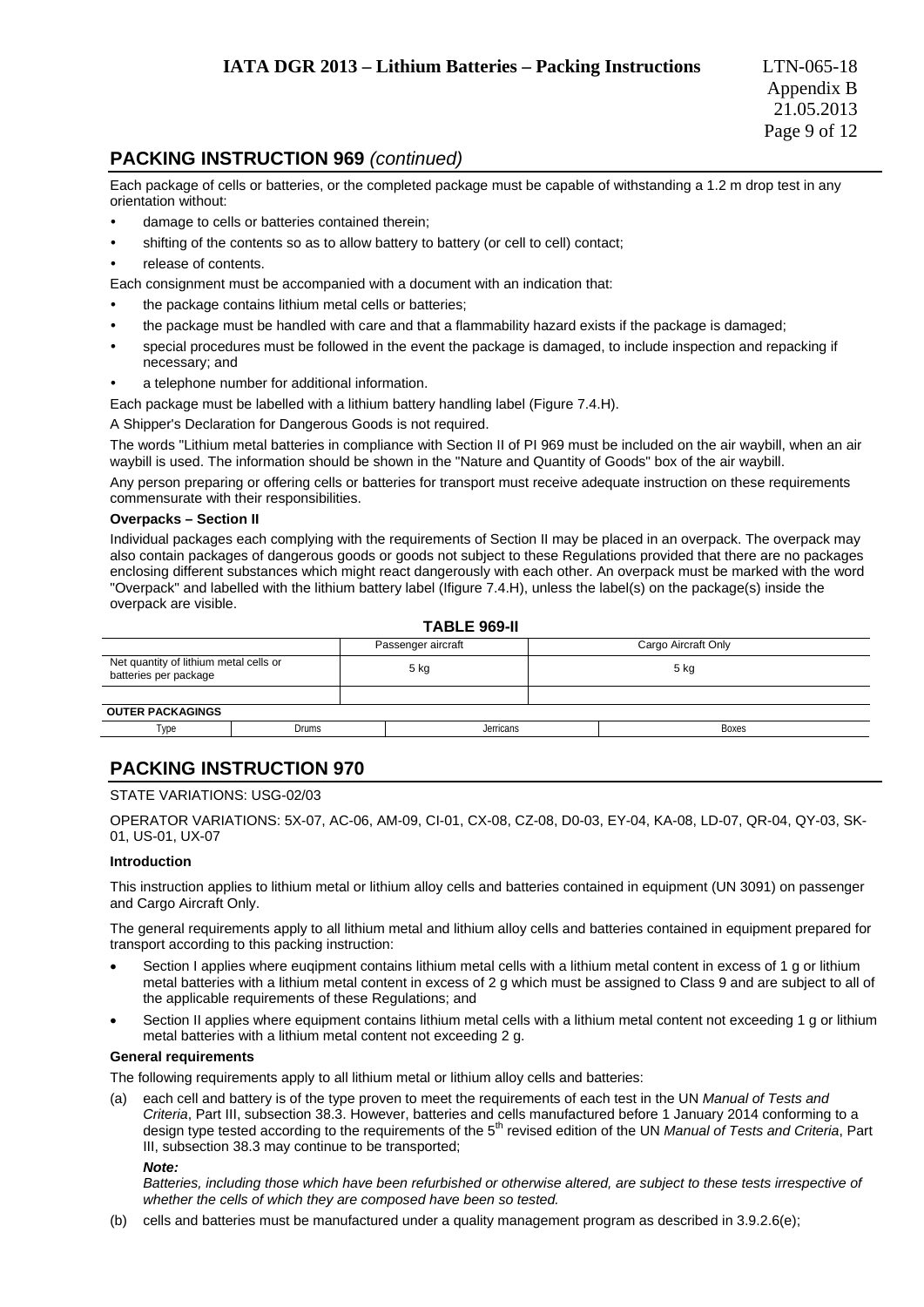### **PACKING INSTRUCTION 969** *(continued)*

Each package of cells or batteries, or the completed package must be capable of withstanding a 1.2 m drop test in any orientation without:

- damage to cells or batteries contained therein;
- shifting of the contents so as to allow battery to battery (or cell to cell) contact;
- release of contents.

Each consignment must be accompanied with a document with an indication that:

- the package contains lithium metal cells or batteries;
- the package must be handled with care and that a flammability hazard exists if the package is damaged;
- special procedures must be followed in the event the package is damaged, to include inspection and repacking if necessary; and
- a telephone number for additional information.
- Each package must be labelled with a lithium battery handling label (Figure 7.4.H).

A Shipper's Declaration for Dangerous Goods is not required.

The words "Lithium metal batteries in compliance with Section II of PI 969 must be included on the air waybill, when an air waybill is used. The information should be shown in the "Nature and Quantity of Goods" box of the air waybill.

Any person preparing or offering cells or batteries for transport must receive adequate instruction on these requirements commensurate with their responsibilities.

#### **Overpacks – Section II**

Individual packages each complying with the requirements of Section II may be placed in an overpack. The overpack may also contain packages of dangerous goods or goods not subject to these Regulations provided that there are no packages enclosing different substances which might react dangerously with each other. An overpack must be marked with the word "Overpack" and labelled with the lithium battery label (Ifigure 7.4.H), unless the label(s) on the package(s) inside the overpack are visible.

#### **TABLE 969-II**

| .                                                               |       |  |                    |                     |              |  |  |  |
|-----------------------------------------------------------------|-------|--|--------------------|---------------------|--------------|--|--|--|
|                                                                 |       |  | Passenger aircraft | Cargo Aircraft Only |              |  |  |  |
| Net quantity of lithium metal cells or<br>batteries per package |       |  | 5 kg               |                     | $5$ kg       |  |  |  |
|                                                                 |       |  |                    |                     |              |  |  |  |
| <b>OUTER PACKAGINGS</b>                                         |       |  |                    |                     |              |  |  |  |
| Type                                                            | Drums |  | Jerricans          |                     | <b>Boxes</b> |  |  |  |
|                                                                 |       |  |                    |                     |              |  |  |  |

### **PACKING INSTRUCTION 970**

### STATE VARIATIONS: USG-02/03

OPERATOR VARIATIONS: 5X-07, AC-06, AM-09, CI-01, CX-08, CZ-08, D0-03, EY-04, KA-08, LD-07, QR-04, QY-03, SK-01, US-01, UX-07

#### **Introduction**

This instruction applies to lithium metal or lithium alloy cells and batteries contained in equipment (UN 3091) on passenger and Cargo Aircraft Only.

The general requirements apply to all lithium metal and lithium alloy cells and batteries contained in equipment prepared for transport according to this packing instruction:

- Section I applies where eugipment contains lithium metal cells with a lithium metal content in excess of 1 g or lithium metal batteries with a lithium metal content in excess of 2 g which must be assigned to Class 9 and are subject to all of the applicable requirements of these Regulations; and
- Section II applies where equipment contains lithium metal cells with a lithium metal content not exceeding 1 g or lithium metal batteries with a lithium metal content not exceeding 2 g.

### **General requirements**

The following requirements apply to all lithium metal or lithium alloy cells and batteries:

(a) each cell and battery is of the type proven to meet the requirements of each test in the UN *Manual of Tests and Criteria*, Part III, subsection 38.3. However, batteries and cells manufactured before 1 January 2014 conforming to a design type tested according to the requirements of the 5th revised edition of the UN *Manual of Tests and Criteria*, Part III, subsection 38.3 may continue to be transported;

#### *Note:*

*Batteries, including those which have been refurbished or otherwise altered, are subject to these tests irrespective of whether the cells of which they are composed have been so tested.* 

(b) cells and batteries must be manufactured under a quality management program as described in 3.9.2.6(e);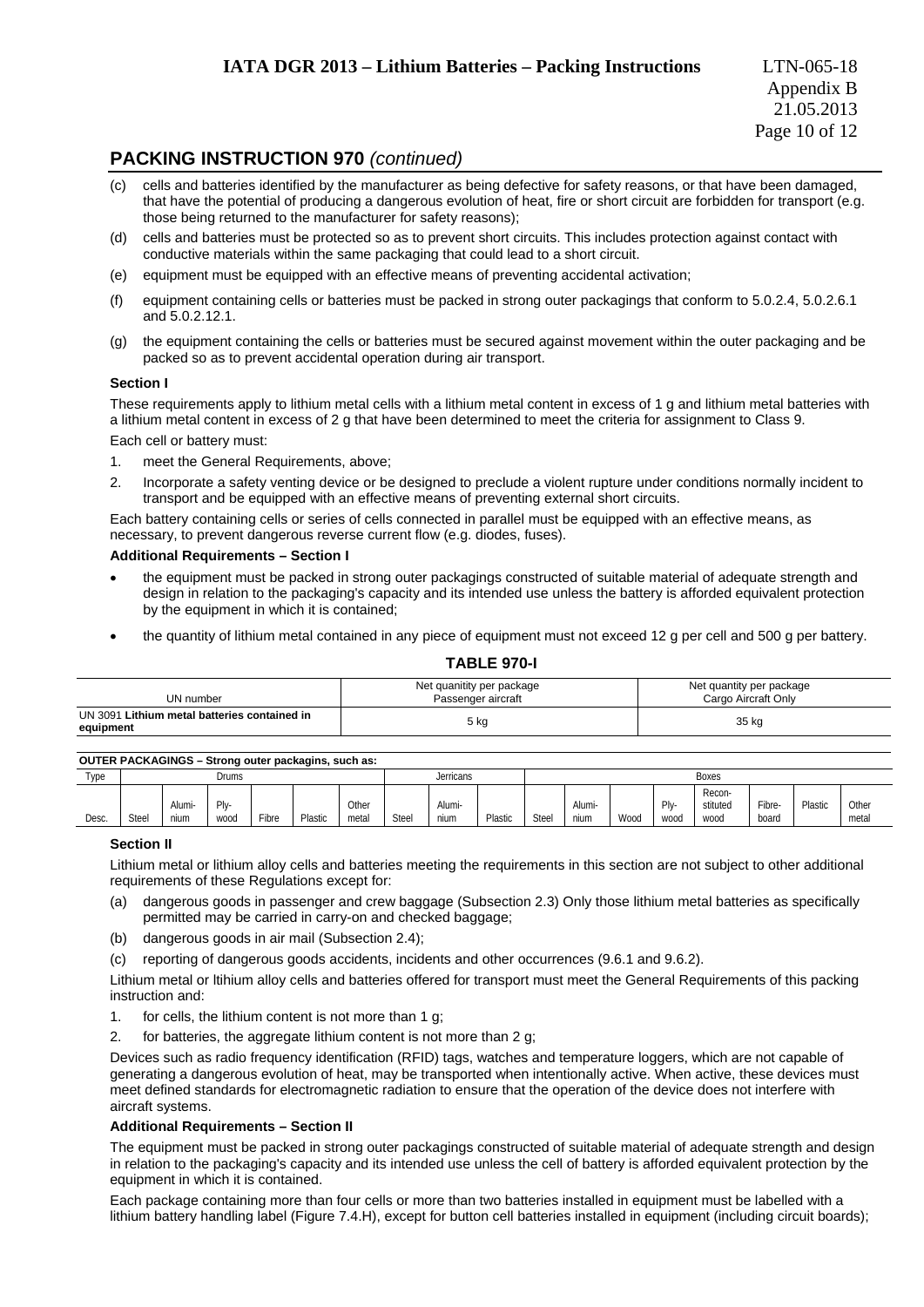### **PACKING INSTRUCTION 970** *(continued)*

- (c) cells and batteries identified by the manufacturer as being defective for safety reasons, or that have been damaged, that have the potential of producing a dangerous evolution of heat, fire or short circuit are forbidden for transport (e.g. those being returned to the manufacturer for safety reasons);
- (d) cells and batteries must be protected so as to prevent short circuits. This includes protection against contact with conductive materials within the same packaging that could lead to a short circuit.
- (e) equipment must be equipped with an effective means of preventing accidental activation;
- (f) equipment containing cells or batteries must be packed in strong outer packagings that conform to 5.0.2.4, 5.0.2.6.1 and 5.0.2.12.1.
- (g) the equipment containing the cells or batteries must be secured against movement within the outer packaging and be packed so as to prevent accidental operation during air transport.

#### **Section I**

These requirements apply to lithium metal cells with a lithium metal content in excess of 1 g and lithium metal batteries with a lithium metal content in excess of 2 g that have been determined to meet the criteria for assignment to Class 9.

Each cell or battery must:

- 1. meet the General Requirements, above;
- 2. Incorporate a safety venting device or be designed to preclude a violent rupture under conditions normally incident to transport and be equipped with an effective means of preventing external short circuits.

Each battery containing cells or series of cells connected in parallel must be equipped with an effective means, as necessary, to prevent dangerous reverse current flow (e.g. diodes, fuses).

#### **Additional Requirements – Section I**

- the equipment must be packed in strong outer packagings constructed of suitable material of adequate strength and design in relation to the packaging's capacity and its intended use unless the battery is afforded equivalent protection by the equipment in which it is contained;
- the quantity of lithium metal contained in any piece of equipment must not exceed 12 g per cell and 500 g per battery.

#### **TABLE 970-I**

| UN number                                                 | Net quanitity per package<br>Passenger aircraft | Net quantity per package<br>Cargo Aircraft Only |
|-----------------------------------------------------------|-------------------------------------------------|-------------------------------------------------|
| UN 3091 Lithium metal batteries contained in<br>equipment | 5 kg                                            | 35 kg                                           |

### **OUTER PACKAGINGS – Strong outer packagins, such as:**

| ------------- |              |                |              |           |         |                |       |                |         |       |                |      |                 |                            |                 |         |                |
|---------------|--------------|----------------|--------------|-----------|---------|----------------|-------|----------------|---------|-------|----------------|------|-----------------|----------------------------|-----------------|---------|----------------|
| Type          | <b>Drums</b> |                |              | Jerricans |         |                | Boxes |                |         |       |                |      |                 |                            |                 |         |                |
| Desc.         | Steel        | Alumi-<br>nium | Plv-<br>wood | Fiber     | Plastic | Other<br>metal | Steel | Alumi-<br>nium | Plastic | Steel | Alumi-<br>nium | Wood | $P V -$<br>WOOQ | Recon-<br>stituted<br>wood | Fibre-<br>board | Plastic | Other<br>metal |

#### **Section II**

Lithium metal or lithium alloy cells and batteries meeting the requirements in this section are not subject to other additional requirements of these Regulations except for:

- (a) dangerous goods in passenger and crew baggage (Subsection 2.3) Only those lithium metal batteries as specifically permitted may be carried in carry-on and checked baggage;
- (b) dangerous goods in air mail (Subsection 2.4);
- (c) reporting of dangerous goods accidents, incidents and other occurrences (9.6.1 and 9.6.2).

Lithium metal or ltihium alloy cells and batteries offered for transport must meet the General Requirements of this packing instruction and:

- 1. for cells, the lithium content is not more than 1 g;
- 2. for batteries, the aggregate lithium content is not more than 2 g:

Devices such as radio frequency identification (RFID) tags, watches and temperature loggers, which are not capable of generating a dangerous evolution of heat, may be transported when intentionally active. When active, these devices must meet defined standards for electromagnetic radiation to ensure that the operation of the device does not interfere with aircraft systems.

#### **Additional Requirements – Section II**

The equipment must be packed in strong outer packagings constructed of suitable material of adequate strength and design in relation to the packaging's capacity and its intended use unless the cell of battery is afforded equivalent protection by the equipment in which it is contained.

Each package containing more than four cells or more than two batteries installed in equipment must be labelled with a lithium battery handling label (Figure 7.4.H), except for button cell batteries installed in equipment (including circuit boards);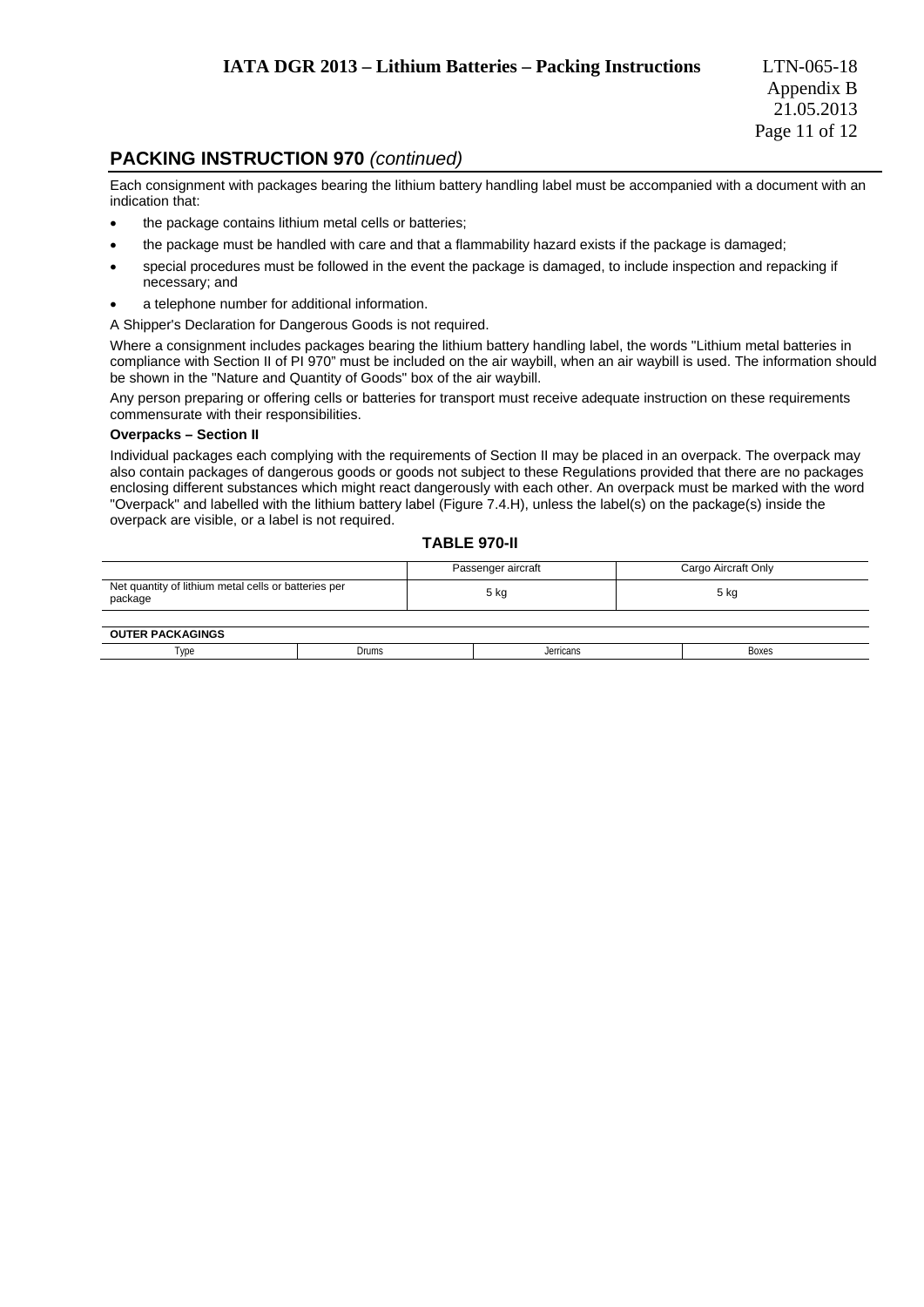### **PACKING INSTRUCTION 970** *(continued)*

Each consignment with packages bearing the lithium battery handling label must be accompanied with a document with an indication that:

- the package contains lithium metal cells or batteries;
- the package must be handled with care and that a flammability hazard exists if the package is damaged;
- special procedures must be followed in the event the package is damaged, to include inspection and repacking if necessary; and
- a telephone number for additional information.

A Shipper's Declaration for Dangerous Goods is not required.

Where a consignment includes packages bearing the lithium battery handling label, the words "Lithium metal batteries in compliance with Section II of PI 970" must be included on the air waybill, when an air waybill is used. The information should be shown in the "Nature and Quantity of Goods" box of the air waybill.

Any person preparing or offering cells or batteries for transport must receive adequate instruction on these requirements commensurate with their responsibilities.

#### **Overpacks – Section II**

Individual packages each complying with the requirements of Section II may be placed in an overpack. The overpack may also contain packages of dangerous goods or goods not subject to these Regulations provided that there are no packages enclosing different substances which might react dangerously with each other. An overpack must be marked with the word "Overpack" and labelled with the lithium battery label (Figure 7.4.H), unless the label(s) on the package(s) inside the overpack are visible, or a label is not required.

### **TABLE 970-II**

|                                                                 | Passenger aircraft | Cargo Aircraft Only |
|-----------------------------------------------------------------|--------------------|---------------------|
| Net quantity of lithium metal cells or batteries per<br>package | 5 kg               | 5 kg                |
|                                                                 |                    |                     |
| AUTER BAAILLAILLAN                                              |                    |                     |

| <b>PACKAGINGS</b><br>OUT<br>нκ |       |           |       |
|--------------------------------|-------|-----------|-------|
| l vpe                          | Drums | Jerricans | Boxes |
|                                |       | .         |       |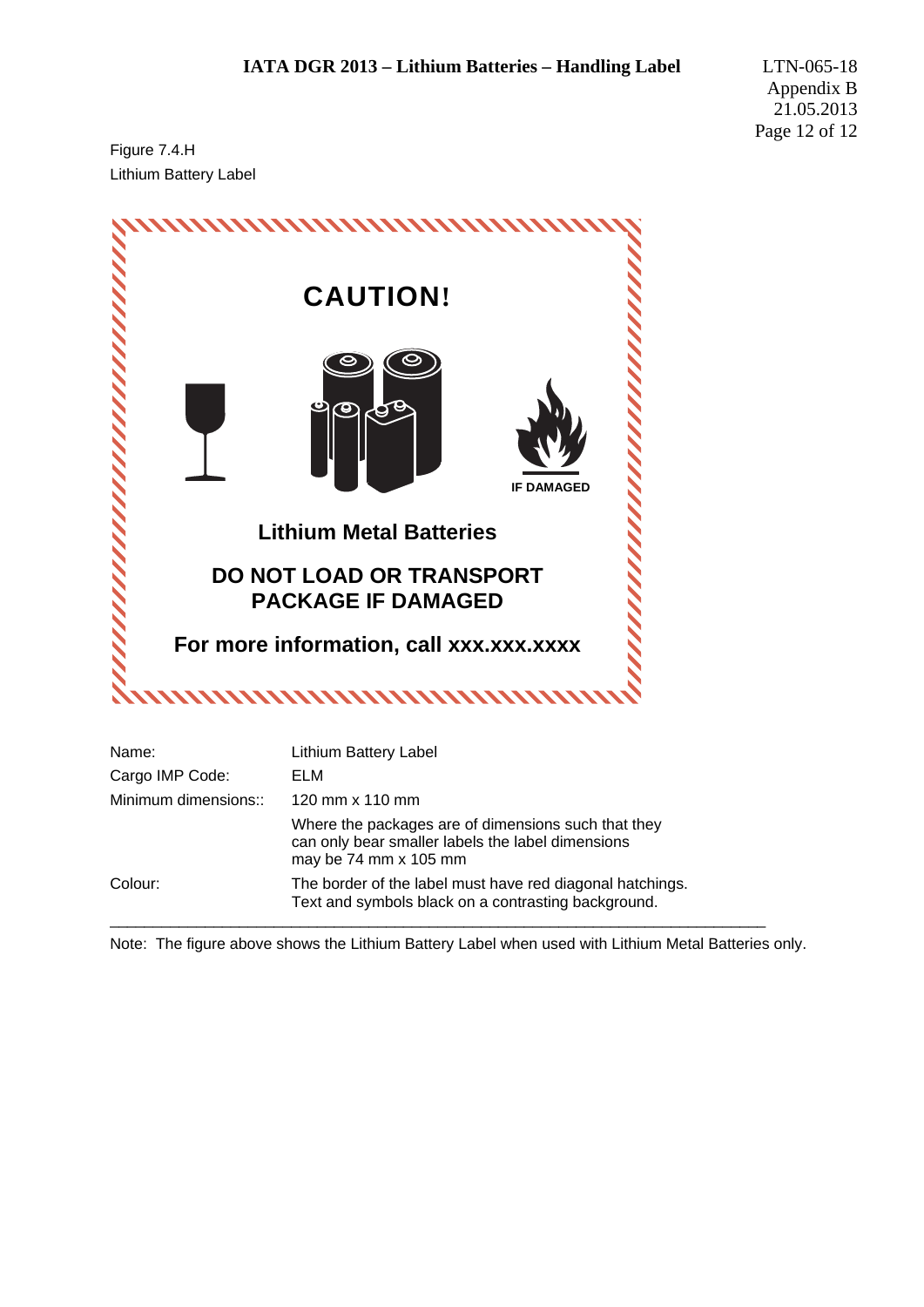Figure 7.4.H Lithium Battery Label



Note: The figure above shows the Lithium Battery Label when used with Lithium Metal Batteries only.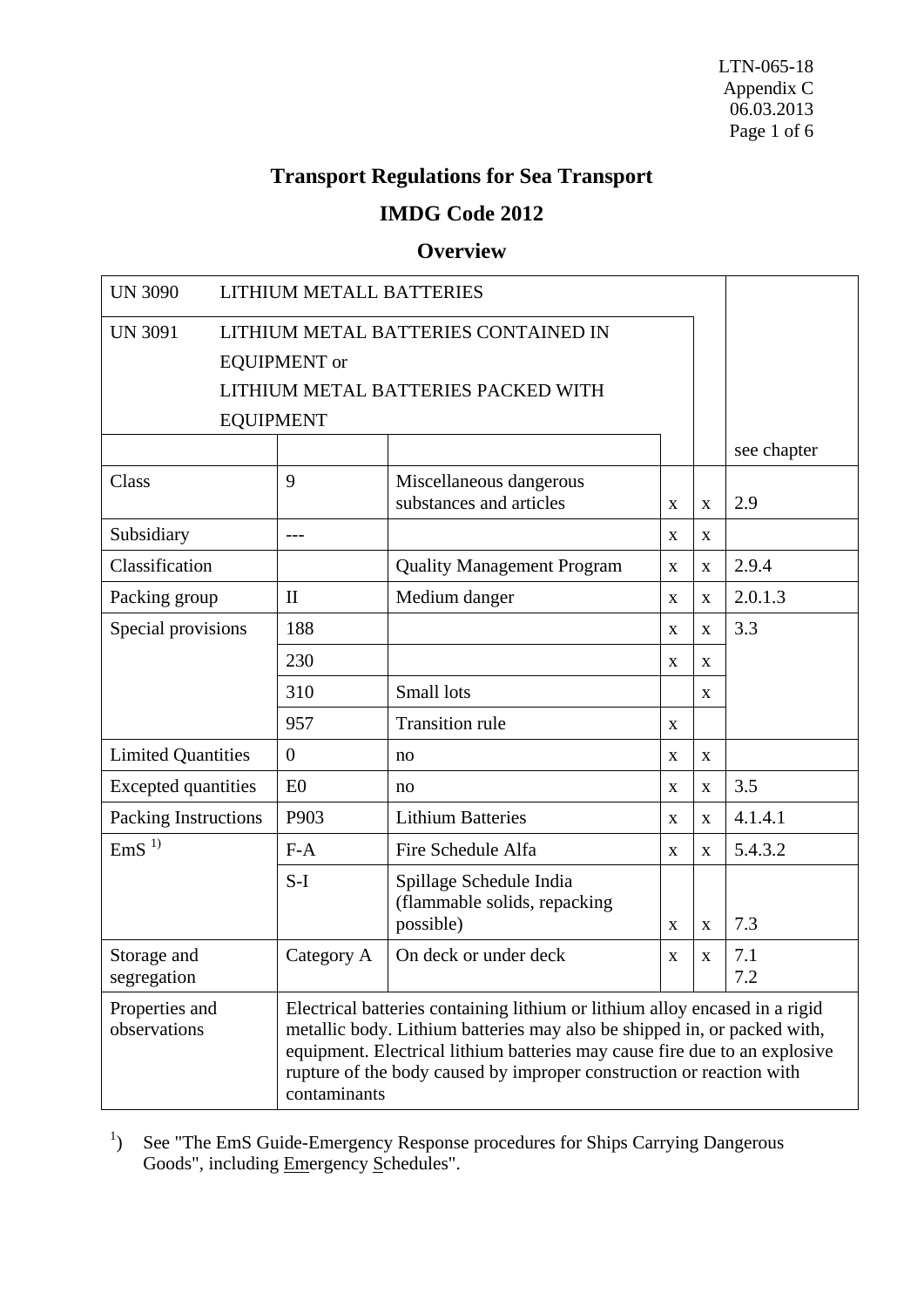# **Transport Regulations for Sea Transport**

# **IMDG Code 2012**

# **Overview**

| <b>UN 3090</b>                                                                                                                                                                                                                                                                                                                                                  | LITHIUM METALL BATTERIES             |                                                    |             |             |             |  |  |  |  |
|-----------------------------------------------------------------------------------------------------------------------------------------------------------------------------------------------------------------------------------------------------------------------------------------------------------------------------------------------------------------|--------------------------------------|----------------------------------------------------|-------------|-------------|-------------|--|--|--|--|
| <b>UN 3091</b>                                                                                                                                                                                                                                                                                                                                                  | LITHIUM METAL BATTERIES CONTAINED IN |                                                    |             |             |             |  |  |  |  |
|                                                                                                                                                                                                                                                                                                                                                                 | <b>EQUIPMENT</b> or                  |                                                    |             |             |             |  |  |  |  |
| LITHIUM METAL BATTERIES PACKED WITH                                                                                                                                                                                                                                                                                                                             |                                      |                                                    |             |             |             |  |  |  |  |
| <b>EQUIPMENT</b>                                                                                                                                                                                                                                                                                                                                                |                                      |                                                    |             |             |             |  |  |  |  |
|                                                                                                                                                                                                                                                                                                                                                                 |                                      |                                                    |             |             | see chapter |  |  |  |  |
| Class                                                                                                                                                                                                                                                                                                                                                           | 9                                    | Miscellaneous dangerous<br>substances and articles | X           | $\mathbf X$ | 2.9         |  |  |  |  |
| Subsidiary                                                                                                                                                                                                                                                                                                                                                      | $---$                                |                                                    | $\mathbf X$ | X           |             |  |  |  |  |
| Classification                                                                                                                                                                                                                                                                                                                                                  |                                      | <b>Quality Management Program</b>                  | X           | X           | 2.9.4       |  |  |  |  |
| Packing group                                                                                                                                                                                                                                                                                                                                                   | $\mathbf{I}$                         | Medium danger                                      | $\mathbf X$ | $\mathbf X$ | 2.0.1.3     |  |  |  |  |
| Special provisions                                                                                                                                                                                                                                                                                                                                              | 188                                  |                                                    | X           | X           | 3.3         |  |  |  |  |
|                                                                                                                                                                                                                                                                                                                                                                 | 230                                  |                                                    | X           | X           |             |  |  |  |  |
|                                                                                                                                                                                                                                                                                                                                                                 | 310                                  | Small lots                                         |             | X           |             |  |  |  |  |
|                                                                                                                                                                                                                                                                                                                                                                 | 957                                  | <b>Transition rule</b>                             | X           |             |             |  |  |  |  |
| <b>Limited Quantities</b>                                                                                                                                                                                                                                                                                                                                       | $\overline{0}$                       | no                                                 | $\mathbf X$ | $\mathbf X$ |             |  |  |  |  |
| <b>Excepted</b> quantities                                                                                                                                                                                                                                                                                                                                      | E <sub>0</sub>                       | no                                                 | X           | X           | 3.5         |  |  |  |  |
| Packing Instructions                                                                                                                                                                                                                                                                                                                                            | P903                                 | <b>Lithium Batteries</b>                           | $\mathbf X$ | $\mathbf X$ | 4.1.4.1     |  |  |  |  |
| EmS <sup>1</sup>                                                                                                                                                                                                                                                                                                                                                | $F-A$                                | Fire Schedule Alfa                                 | X           | X           | 5.4.3.2     |  |  |  |  |
|                                                                                                                                                                                                                                                                                                                                                                 | $S-I$                                | Spillage Schedule India                            |             |             |             |  |  |  |  |
|                                                                                                                                                                                                                                                                                                                                                                 |                                      | (flammable solids, repacking<br>possible)          | X           | X           | 7.3         |  |  |  |  |
| Storage and                                                                                                                                                                                                                                                                                                                                                     | Category A                           | On deck or under deck                              | $\mathbf X$ | $\mathbf X$ | 7.1         |  |  |  |  |
| segregation                                                                                                                                                                                                                                                                                                                                                     |                                      |                                                    |             |             | 7.2         |  |  |  |  |
| Properties and<br>Electrical batteries containing lithium or lithium alloy encased in a rigid<br>observations<br>metallic body. Lithium batteries may also be shipped in, or packed with,<br>equipment. Electrical lithium batteries may cause fire due to an explosive<br>rupture of the body caused by improper construction or reaction with<br>contaminants |                                      |                                                    |             |             |             |  |  |  |  |

<sup>1</sup>) See "The EmS Guide-Emergency Response procedures for Ships Carrying Dangerous Goods", including Emergency Schedules".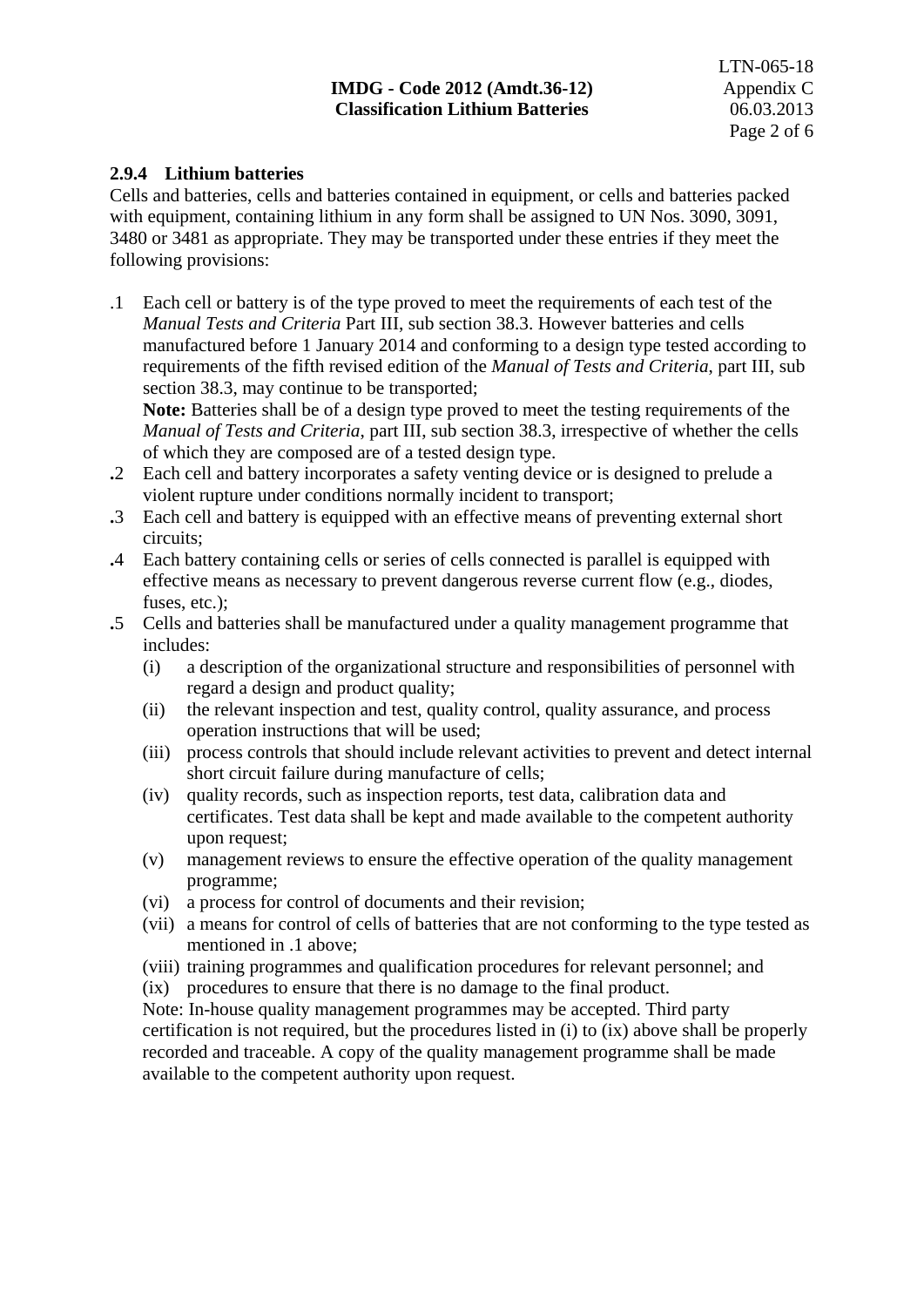### **IMDG - Code 2012 (Amdt.36-12)** Appendix C **Classification Lithium Batteries** 06.03.2013

### **2.9.4 Lithium batteries**

Cells and batteries, cells and batteries contained in equipment, or cells and batteries packed with equipment, containing lithium in any form shall be assigned to UN Nos. 3090, 3091. 3480 or 3481 as appropriate. They may be transported under these entries if they meet the following provisions:

.1 Each cell or battery is of the type proved to meet the requirements of each test of the *Manual Tests and Criteria* Part III, sub section 38.3. However batteries and cells manufactured before 1 January 2014 and conforming to a design type tested according to requirements of the fifth revised edition of the *Manual of Tests and Criteria*, part III, sub section 38.3, may continue to be transported;

**Note:** Batteries shall be of a design type proved to meet the testing requirements of the *Manual of Tests and Criteria*, part III, sub section 38.3, irrespective of whether the cells of which they are composed are of a tested design type.

- **.**2 Each cell and battery incorporates a safety venting device or is designed to prelude a violent rupture under conditions normally incident to transport;
- **.**3 Each cell and battery is equipped with an effective means of preventing external short circuits;
- **.**4 Each battery containing cells or series of cells connected is parallel is equipped with effective means as necessary to prevent dangerous reverse current flow (e.g., diodes, fuses, etc.);
- **.**5 Cells and batteries shall be manufactured under a quality management programme that includes:
	- (i) a description of the organizational structure and responsibilities of personnel with regard a design and product quality;
	- (ii) the relevant inspection and test, quality control, quality assurance, and process operation instructions that will be used;
	- (iii) process controls that should include relevant activities to prevent and detect internal short circuit failure during manufacture of cells;
	- (iv) quality records, such as inspection reports, test data, calibration data and certificates. Test data shall be kept and made available to the competent authority upon request;
	- (v) management reviews to ensure the effective operation of the quality management programme;
	- (vi) a process for control of documents and their revision;
	- (vii) a means for control of cells of batteries that are not conforming to the type tested as mentioned in .1 above;
	- (viii) training programmes and qualification procedures for relevant personnel; and
	- (ix) procedures to ensure that there is no damage to the final product.

Note: In-house quality management programmes may be accepted. Third party certification is not required, but the procedures listed in (i) to (ix) above shall be properly recorded and traceable. A copy of the quality management programme shall be made available to the competent authority upon request.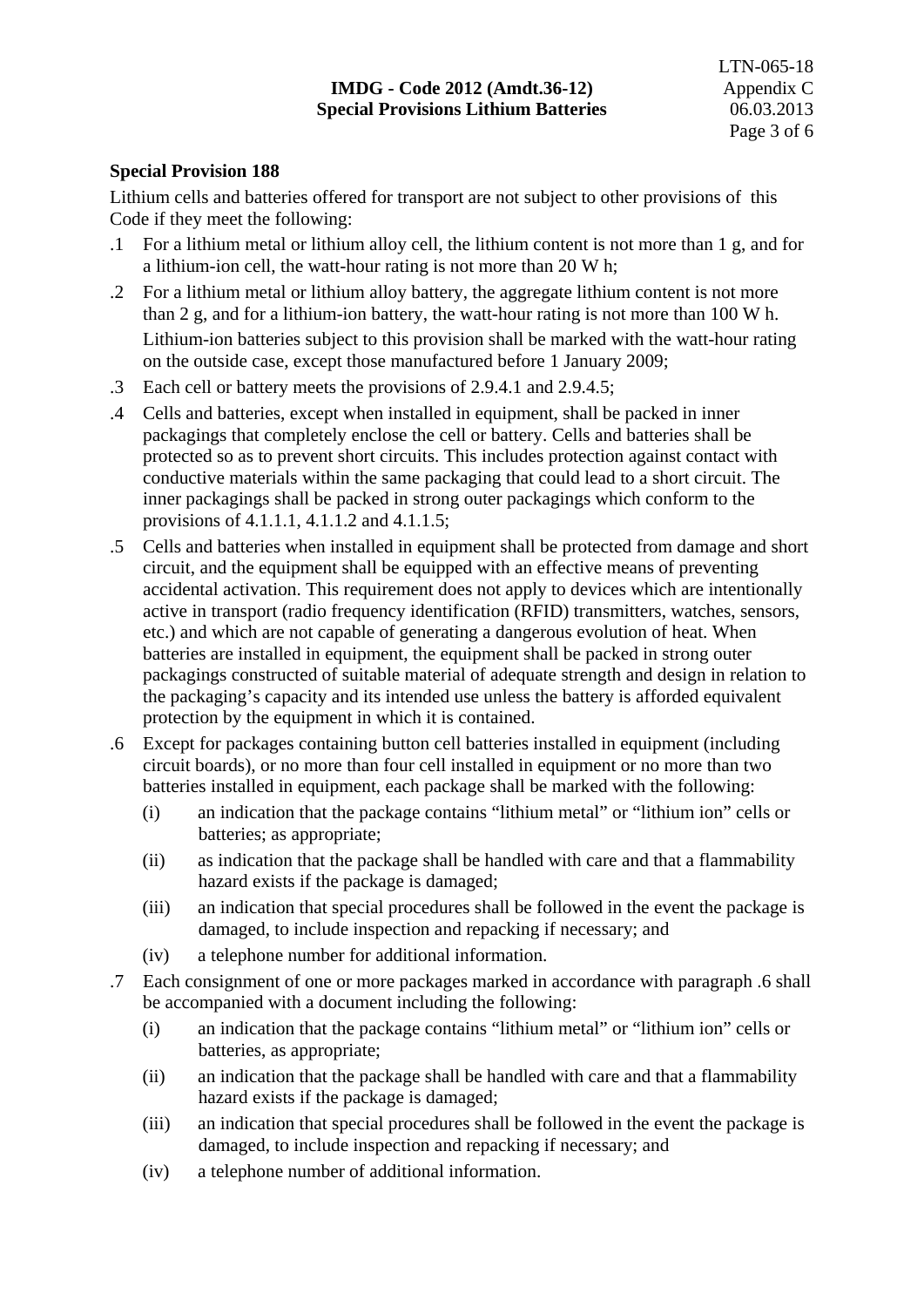### **Special Provision 188**

Lithium cells and batteries offered for transport are not subject to other provisions of this Code if they meet the following:

- .1 For a lithium metal or lithium alloy cell, the lithium content is not more than 1 g, and for a lithium-ion cell, the watt-hour rating is not more than 20 W h;
- .2 For a lithium metal or lithium alloy battery, the aggregate lithium content is not more than 2 g, and for a lithium-ion battery, the watt-hour rating is not more than 100 W h. Lithium-ion batteries subject to this provision shall be marked with the watt-hour rating on the outside case, except those manufactured before 1 January 2009;
- .3 Each cell or battery meets the provisions of 2.9.4.1 and 2.9.4.5;
- .4 Cells and batteries, except when installed in equipment, shall be packed in inner packagings that completely enclose the cell or battery. Cells and batteries shall be protected so as to prevent short circuits. This includes protection against contact with conductive materials within the same packaging that could lead to a short circuit. The inner packagings shall be packed in strong outer packagings which conform to the provisions of 4.1.1.1, 4.1.1.2 and 4.1.1.5;
- .5 Cells and batteries when installed in equipment shall be protected from damage and short circuit, and the equipment shall be equipped with an effective means of preventing accidental activation. This requirement does not apply to devices which are intentionally active in transport (radio frequency identification (RFID) transmitters, watches, sensors, etc.) and which are not capable of generating a dangerous evolution of heat. When batteries are installed in equipment, the equipment shall be packed in strong outer packagings constructed of suitable material of adequate strength and design in relation to the packaging's capacity and its intended use unless the battery is afforded equivalent protection by the equipment in which it is contained.
- .6 Except for packages containing button cell batteries installed in equipment (including circuit boards), or no more than four cell installed in equipment or no more than two batteries installed in equipment, each package shall be marked with the following:
	- (i) an indication that the package contains "lithium metal" or "lithium ion" cells or batteries; as appropriate;
	- (ii) as indication that the package shall be handled with care and that a flammability hazard exists if the package is damaged;
	- (iii) an indication that special procedures shall be followed in the event the package is damaged, to include inspection and repacking if necessary; and
	- (iv) a telephone number for additional information.
- .7 Each consignment of one or more packages marked in accordance with paragraph .6 shall be accompanied with a document including the following:
	- (i) an indication that the package contains "lithium metal" or "lithium ion" cells or batteries, as appropriate;
	- (ii) an indication that the package shall be handled with care and that a flammability hazard exists if the package is damaged;
	- (iii) an indication that special procedures shall be followed in the event the package is damaged, to include inspection and repacking if necessary; and
	- (iv) a telephone number of additional information.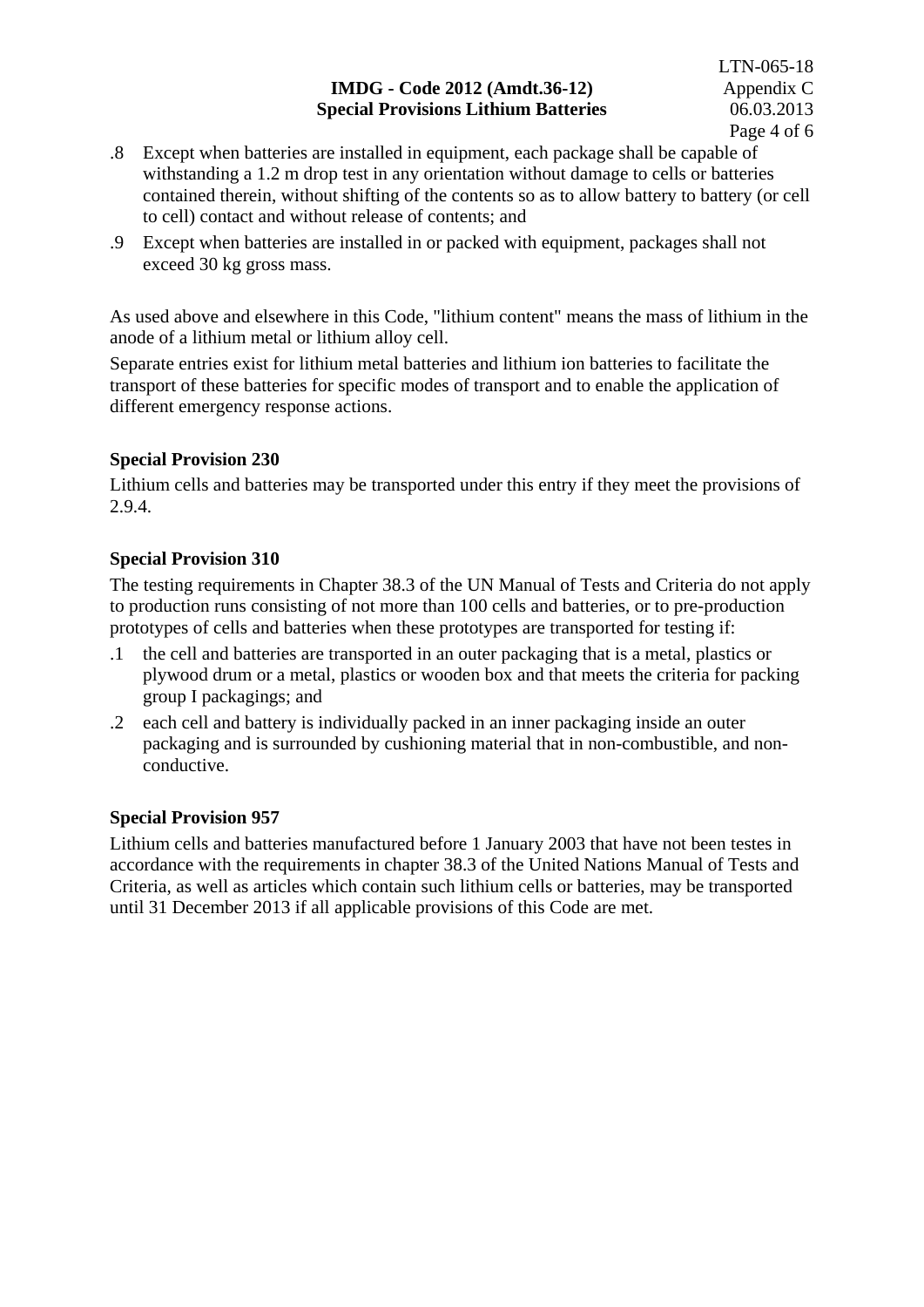### **IMDG - Code 2012 (Amdt.36-12)** Appendix C **Special Provisions Lithium Batteries** 06.03.2013

- .8 Except when batteries are installed in equipment, each package shall be capable of withstanding a 1.2 m drop test in any orientation without damage to cells or batteries contained therein, without shifting of the contents so as to allow battery to battery (or cell to cell) contact and without release of contents; and
- .9 Except when batteries are installed in or packed with equipment, packages shall not exceed 30 kg gross mass.

As used above and elsewhere in this Code, "lithium content" means the mass of lithium in the anode of a lithium metal or lithium alloy cell.

Separate entries exist for lithium metal batteries and lithium ion batteries to facilitate the transport of these batteries for specific modes of transport and to enable the application of different emergency response actions.

### **Special Provision 230**

Lithium cells and batteries may be transported under this entry if they meet the provisions of 2.9.4.

### **Special Provision 310**

The testing requirements in Chapter 38.3 of the UN Manual of Tests and Criteria do not apply to production runs consisting of not more than 100 cells and batteries, or to pre-production prototypes of cells and batteries when these prototypes are transported for testing if:

- .1 the cell and batteries are transported in an outer packaging that is a metal, plastics or plywood drum or a metal, plastics or wooden box and that meets the criteria for packing group I packagings; and
- .2 each cell and battery is individually packed in an inner packaging inside an outer packaging and is surrounded by cushioning material that in non-combustible, and nonconductive.

### **Special Provision 957**

Lithium cells and batteries manufactured before 1 January 2003 that have not been testes in accordance with the requirements in chapter 38.3 of the United Nations Manual of Tests and Criteria, as well as articles which contain such lithium cells or batteries, may be transported until 31 December 2013 if all applicable provisions of this Code are met.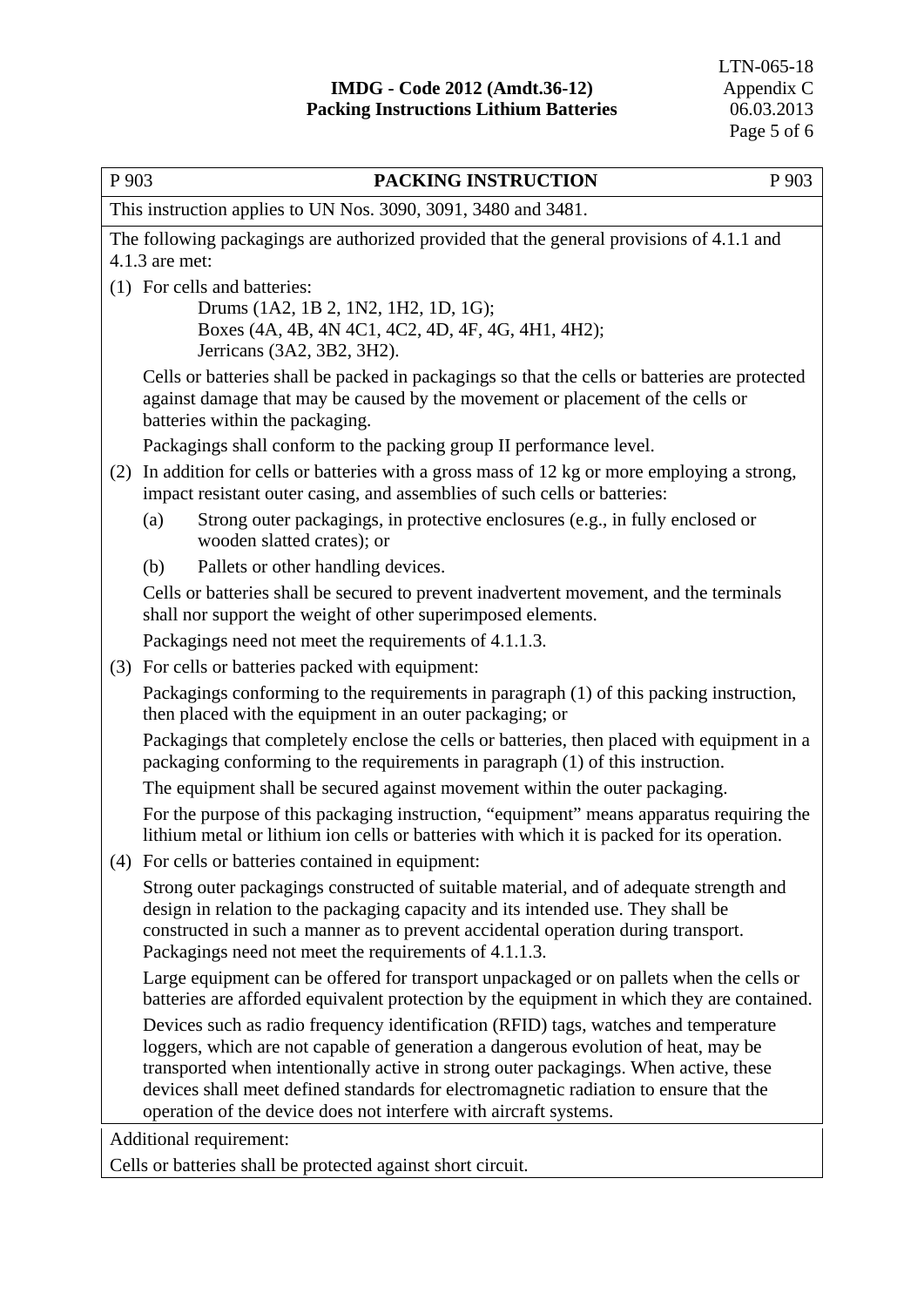| P 903 | PACKING INSTRUCTION                                                                                                                                                                                                | P 903 |  |  |  |  |  |  |
|-------|--------------------------------------------------------------------------------------------------------------------------------------------------------------------------------------------------------------------|-------|--|--|--|--|--|--|
|       | This instruction applies to UN Nos. 3090, 3091, 3480 and 3481.                                                                                                                                                     |       |  |  |  |  |  |  |
|       | The following packagings are authorized provided that the general provisions of 4.1.1 and                                                                                                                          |       |  |  |  |  |  |  |
|       | $4.1.3$ are met:                                                                                                                                                                                                   |       |  |  |  |  |  |  |
|       | (1) For cells and batteries:                                                                                                                                                                                       |       |  |  |  |  |  |  |
|       | Drums (1A2, 1B 2, 1N2, 1H2, 1D, 1G);<br>Boxes (4A, 4B, 4N 4C1, 4C2, 4D, 4F, 4G, 4H1, 4H2);<br>Jerricans (3A2, 3B2, 3H2).                                                                                           |       |  |  |  |  |  |  |
|       | Cells or batteries shall be packed in packagings so that the cells or batteries are protected<br>against damage that may be caused by the movement or placement of the cells or<br>batteries within the packaging. |       |  |  |  |  |  |  |
|       | Packagings shall conform to the packing group II performance level.                                                                                                                                                |       |  |  |  |  |  |  |
| (2)   | In addition for cells or batteries with a gross mass of 12 kg or more employing a strong,<br>impact resistant outer casing, and assemblies of such cells or batteries:                                             |       |  |  |  |  |  |  |
|       | Strong outer packagings, in protective enclosures (e.g., in fully enclosed or<br>(a)<br>wooden slatted crates); or                                                                                                 |       |  |  |  |  |  |  |
|       | Pallets or other handling devices.<br>(b)                                                                                                                                                                          |       |  |  |  |  |  |  |
|       | Cells or batteries shall be secured to prevent inadvertent movement, and the terminals<br>shall nor support the weight of other superimposed elements.                                                             |       |  |  |  |  |  |  |
|       | Packagings need not meet the requirements of 4.1.1.3.                                                                                                                                                              |       |  |  |  |  |  |  |
|       | (3) For cells or batteries packed with equipment:                                                                                                                                                                  |       |  |  |  |  |  |  |
|       | Packagings conforming to the requirements in paragraph (1) of this packing instruction,<br>then placed with the equipment in an outer packaging; or                                                                |       |  |  |  |  |  |  |
|       | Packagings that completely enclose the cells or batteries, then placed with equipment in a<br>packaging conforming to the requirements in paragraph (1) of this instruction.                                       |       |  |  |  |  |  |  |
|       | The equipment shall be secured against movement within the outer packaging.                                                                                                                                        |       |  |  |  |  |  |  |
|       | For the purpose of this packaging instruction, "equipment" means apparatus requiring the<br>lithium metal or lithium ion cells or batteries with which it is packed for its operation.                             |       |  |  |  |  |  |  |
|       | (4) For cells or batteries contained in equipment:                                                                                                                                                                 |       |  |  |  |  |  |  |
|       | Strong outer packagings constructed of suitable material, and of adequate strength and<br>design in relation to the packaging capacity and its intended use. They shall be                                         |       |  |  |  |  |  |  |
|       | constructed in such a manner as to prevent accidental operation during transport.<br>Packagings need not meet the requirements of 4.1.1.3.                                                                         |       |  |  |  |  |  |  |
|       | Large equipment can be offered for transport unpackaged or on pallets when the cells or<br>batteries are afforded equivalent protection by the equipment in which they are contained.                              |       |  |  |  |  |  |  |
|       | Devices such as radio frequency identification (RFID) tags, watches and temperature<br>loggers, which are not capable of generation a dangerous evolution of heat, may be                                          |       |  |  |  |  |  |  |
|       | transported when intentionally active in strong outer packagings. When active, these                                                                                                                               |       |  |  |  |  |  |  |
|       | devices shall meet defined standards for electromagnetic radiation to ensure that the<br>operation of the device does not interfere with aircraft systems.                                                         |       |  |  |  |  |  |  |
|       | Additional requirement:                                                                                                                                                                                            |       |  |  |  |  |  |  |
|       | Cells or batteries shall be protected against short circuit.                                                                                                                                                       |       |  |  |  |  |  |  |
|       |                                                                                                                                                                                                                    |       |  |  |  |  |  |  |